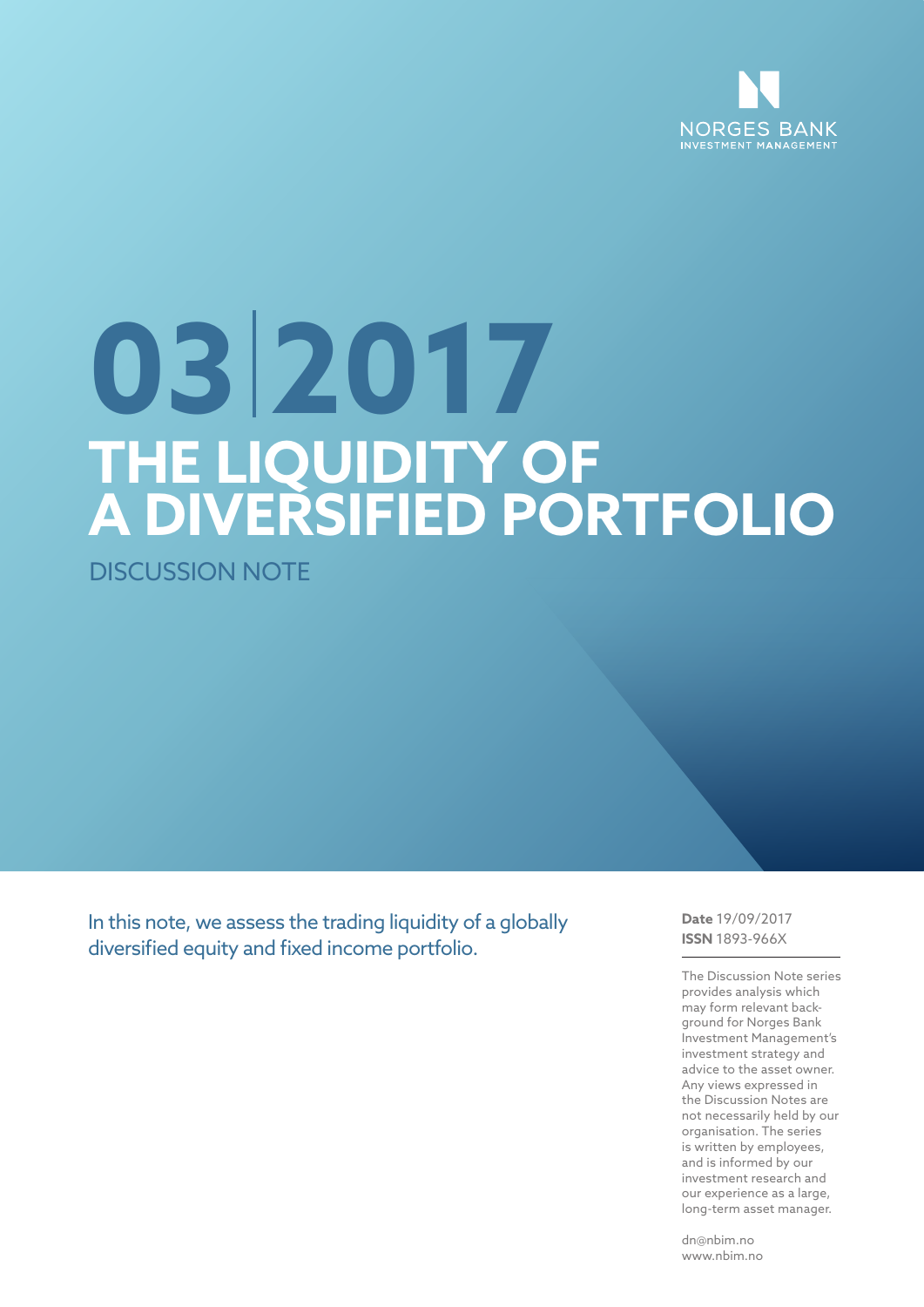

# **THE LIQUIDITY OF A DIVERSIFIED PORTFOLIO 03 2017**

DISCUSSION NOTE

In this note, we assess the trading liquidity of a globally diversified equity and fixed income portfolio.

**Date** 19/09/2017 **ISSN** 1893-966X

The Discussion Note series provides analysis which may form relevant background for Norges Bank Investment Management's investment strategy and advice to the asset owner. Any views expressed in the Discussion Notes are not necessarily held by our organisation. The series is written by employees, and is informed by our investment research and our experience as a large, long-term asset manager.

dn@nbim.no www.nbim.no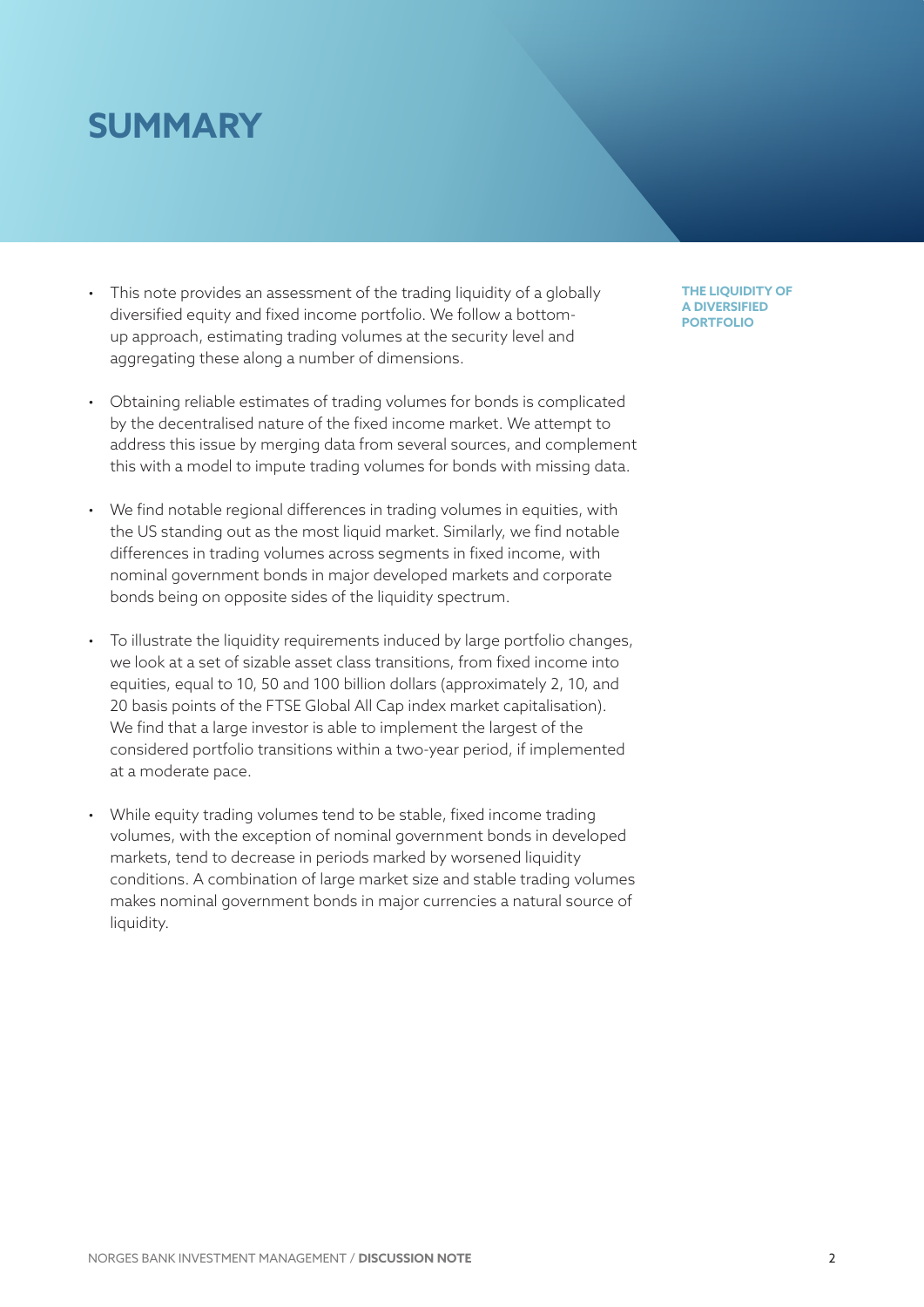# **SUMMARY**

- This note provides an assessment of the trading liquidity of a globally diversified equity and fixed income portfolio. We follow a bottomup approach, estimating trading volumes at the security level and aggregating these along a number of dimensions.
- Obtaining reliable estimates of trading volumes for bonds is complicated by the decentralised nature of the fixed income market. We attempt to address this issue by merging data from several sources, and complement this with a model to impute trading volumes for bonds with missing data.
- We find notable regional differences in trading volumes in equities, with the US standing out as the most liquid market. Similarly, we find notable differences in trading volumes across segments in fixed income, with nominal government bonds in major developed markets and corporate bonds being on opposite sides of the liquidity spectrum.
- To illustrate the liquidity requirements induced by large portfolio changes, we look at a set of sizable asset class transitions, from fixed income into equities, equal to 10, 50 and 100 billion dollars (approximately 2, 10, and 20 basis points of the FTSE Global All Cap index market capitalisation). We find that a large investor is able to implement the largest of the considered portfolio transitions within a two-year period, if implemented at a moderate pace.
- While equity trading volumes tend to be stable, fixed income trading volumes, with the exception of nominal government bonds in developed markets, tend to decrease in periods marked by worsened liquidity conditions. A combination of large market size and stable trading volumes makes nominal government bonds in major currencies a natural source of liquidity.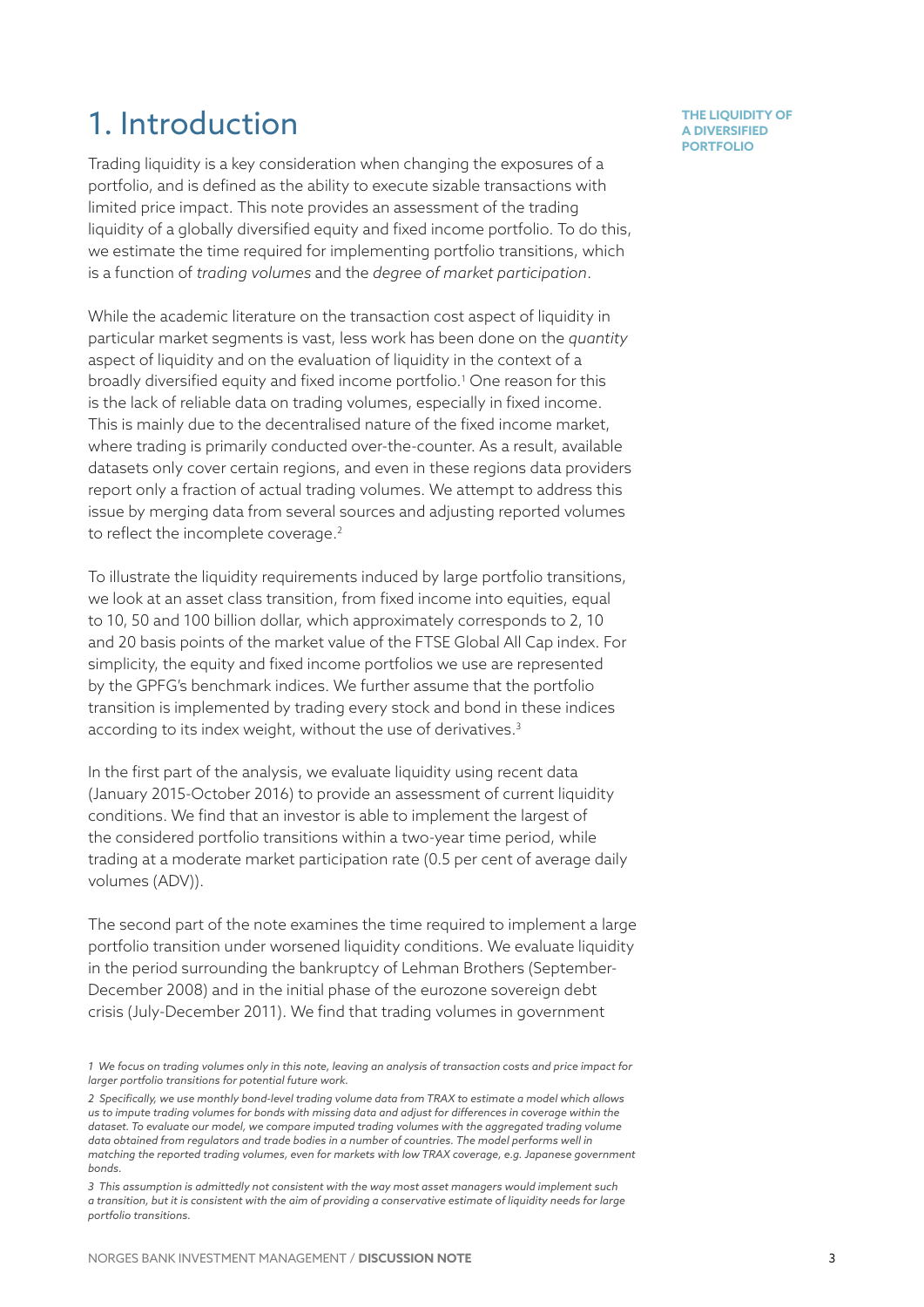### 1. Introduction

Trading liquidity is a key consideration when changing the exposures of a portfolio, and is defined as the ability to execute sizable transactions with limited price impact. This note provides an assessment of the trading liquidity of a globally diversified equity and fixed income portfolio. To do this, we estimate the time required for implementing portfolio transitions, which is a function of *trading volumes* and the *degree of market participation*.

While the academic literature on the transaction cost aspect of liquidity in particular market segments is vast, less work has been done on the *quantity* aspect of liquidity and on the evaluation of liquidity in the context of a broadly diversified equity and fixed income portfolio.1 One reason for this is the lack of reliable data on trading volumes, especially in fixed income. This is mainly due to the decentralised nature of the fixed income market, where trading is primarily conducted over-the-counter. As a result, available datasets only cover certain regions, and even in these regions data providers report only a fraction of actual trading volumes. We attempt to address this issue by merging data from several sources and adjusting reported volumes to reflect the incomplete coverage.<sup>2</sup>

To illustrate the liquidity requirements induced by large portfolio transitions, we look at an asset class transition, from fixed income into equities, equal to 10, 50 and 100 billion dollar, which approximately corresponds to 2, 10 and 20 basis points of the market value of the FTSE Global All Cap index. For simplicity, the equity and fixed income portfolios we use are represented by the GPFG's benchmark indices. We further assume that the portfolio transition is implemented by trading every stock and bond in these indices according to its index weight, without the use of derivatives.<sup>3</sup>

In the first part of the analysis, we evaluate liquidity using recent data (January 2015-October 2016) to provide an assessment of current liquidity conditions. We find that an investor is able to implement the largest of the considered portfolio transitions within a two-year time period, while trading at a moderate market participation rate (0.5 per cent of average daily volumes (ADV)).

The second part of the note examines the time required to implement a large portfolio transition under worsened liquidity conditions. We evaluate liquidity in the period surrounding the bankruptcy of Lehman Brothers (September-December 2008) and in the initial phase of the eurozone sovereign debt crisis (July-December 2011). We find that trading volumes in government

*<sup>1</sup> We focus on trading volumes only in this note, leaving an analysis of transaction costs and price impact for larger portfolio transitions for potential future work.*

*<sup>2</sup> Specifically, we use monthly bond-level trading volume data from TRAX to estimate a model which allows us to impute trading volumes for bonds with missing data and adjust for differences in coverage within the dataset. To evaluate our model, we compare imputed trading volumes with the aggregated trading volume data obtained from regulators and trade bodies in a number of countries. The model performs well in matching the reported trading volumes, even for markets with low TRAX coverage, e.g. Japanese government bonds.*

*<sup>3</sup> This assumption is admittedly not consistent with the way most asset managers would implement such a transition, but it is consistent with the aim of providing a conservative estimate of liquidity needs for large portfolio transitions.*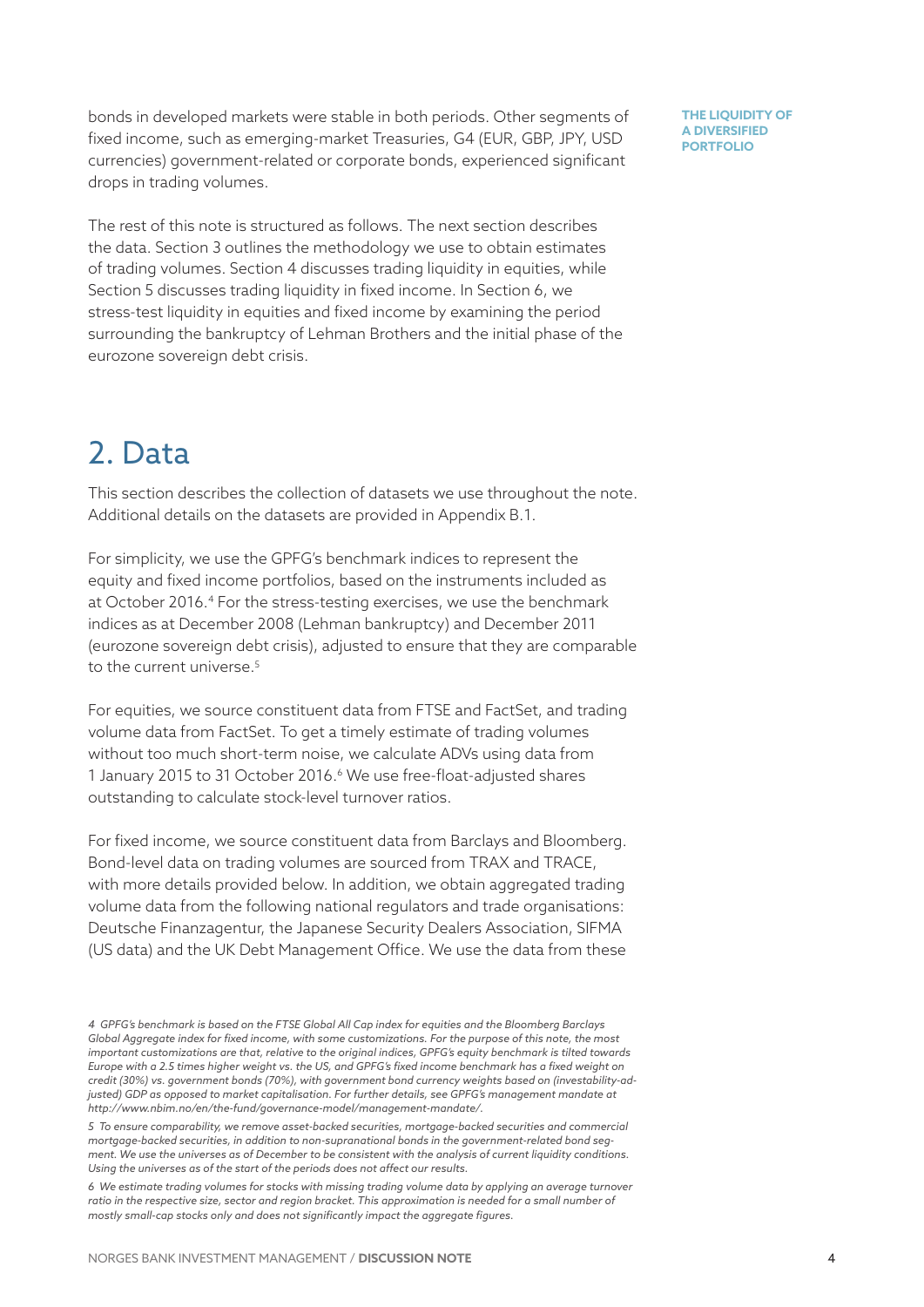bonds in developed markets were stable in both periods. Other segments of fixed income, such as emerging-market Treasuries, G4 (EUR, GBP, JPY, USD currencies) government-related or corporate bonds, experienced significant drops in trading volumes.

The rest of this note is structured as follows. The next section describes the data. Section 3 outlines the methodology we use to obtain estimates of trading volumes. Section 4 discusses trading liquidity in equities, while Section 5 discusses trading liquidity in fixed income. In Section 6, we stress-test liquidity in equities and fixed income by examining the period surrounding the bankruptcy of Lehman Brothers and the initial phase of the eurozone sovereign debt crisis.

# 2. Data

This section describes the collection of datasets we use throughout the note. Additional details on the datasets are provided in Appendix B.1.

For simplicity, we use the GPFG's benchmark indices to represent the equity and fixed income portfolios, based on the instruments included as at October 2016.<sup>4</sup> For the stress-testing exercises, we use the benchmark indices as at December 2008 (Lehman bankruptcy) and December 2011 (eurozone sovereign debt crisis), adjusted to ensure that they are comparable to the current universe.<sup>5</sup>

For equities, we source constituent data from FTSE and FactSet, and trading volume data from FactSet. To get a timely estimate of trading volumes without too much short-term noise, we calculate ADVs using data from 1 January 2015 to 31 October 2016.<sup>6</sup> We use free-float-adjusted shares outstanding to calculate stock-level turnover ratios.

For fixed income, we source constituent data from Barclays and Bloomberg. Bond-level data on trading volumes are sourced from TRAX and TRACE, with more details provided below. In addition, we obtain aggregated trading volume data from the following national regulators and trade organisations: Deutsche Finanzagentur, the Japanese Security Dealers Association, SIFMA (US data) and the UK Debt Management Office. We use the data from these

*<sup>4</sup> GPFG's benchmark is based on the FTSE Global All Cap index for equities and the Bloomberg Barclays Global Aggregate index for fixed income, with some customizations. For the purpose of this note, the most important customizations are that, relative to the original indices, GPFG's equity benchmark is tilted towards Europe with a 2.5 times higher weight vs. the US, and GPFG's fixed income benchmark has a fixed weight on credit (30%) vs. government bonds (70%), with government bond currency weights based on (investability-adjusted) GDP as opposed to market capitalisation. For further details, see GPFG's management mandate at http://www.nbim.no/en/the-fund/governance-model/management-mandate/.*

*<sup>5</sup> To ensure comparability, we remove asset-backed securities, mortgage-backed securities and commercial mortgage-backed securities, in addition to non-supranational bonds in the government-related bond segment. We use the universes as of December to be consistent with the analysis of current liquidity conditions. Using the universes as of the start of the periods does not affect our results.*

*<sup>6</sup> We estimate trading volumes for stocks with missing trading volume data by applying an average turnover*  ratio in the respective size, sector and region bracket. This approximation is needed for a small number of *mostly small-cap stocks only and does not significantly impact the aggregate figures.*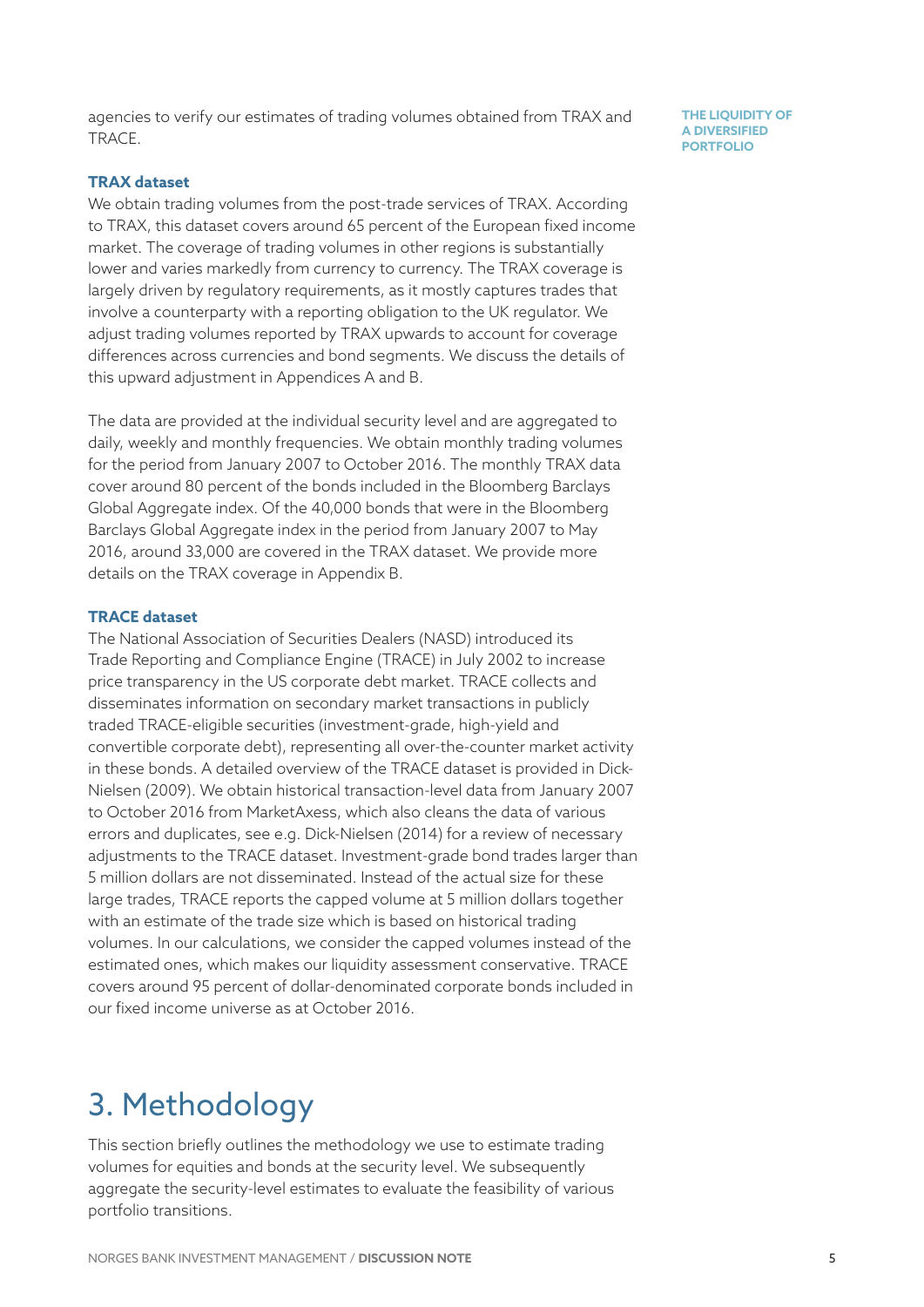agencies to verify our estimates of trading volumes obtained from TRAX and TRACE.

#### **TRAX dataset**

We obtain trading volumes from the post-trade services of TRAX. According to TRAX, this dataset covers around 65 percent of the European fixed income market. The coverage of trading volumes in other regions is substantially lower and varies markedly from currency to currency. The TRAX coverage is largely driven by regulatory requirements, as it mostly captures trades that involve a counterparty with a reporting obligation to the UK regulator. We adjust trading volumes reported by TRAX upwards to account for coverage differences across currencies and bond segments. We discuss the details of this upward adjustment in Appendices A and B.

The data are provided at the individual security level and are aggregated to daily, weekly and monthly frequencies. We obtain monthly trading volumes for the period from January 2007 to October 2016. The monthly TRAX data cover around 80 percent of the bonds included in the Bloomberg Barclays Global Aggregate index. Of the 40,000 bonds that were in the Bloomberg Barclays Global Aggregate index in the period from January 2007 to May 2016, around 33,000 are covered in the TRAX dataset. We provide more details on the TRAX coverage in Appendix B.

#### **TRACE dataset**

The National Association of Securities Dealers (NASD) introduced its Trade Reporting and Compliance Engine (TRACE) in July 2002 to increase price transparency in the US corporate debt market. TRACE collects and disseminates information on secondary market transactions in publicly traded TRACE-eligible securities (investment-grade, high-yield and convertible corporate debt), representing all over-the-counter market activity in these bonds. A detailed overview of the TRACE dataset is provided in Dick-Nielsen (2009). We obtain historical transaction-level data from January 2007 to October 2016 from MarketAxess, which also cleans the data of various errors and duplicates, see e.g. Dick-Nielsen (2014) for a review of necessary adjustments to the TRACE dataset. Investment-grade bond trades larger than 5 million dollars are not disseminated. Instead of the actual size for these large trades, TRACE reports the capped volume at 5 million dollars together with an estimate of the trade size which is based on historical trading volumes. In our calculations, we consider the capped volumes instead of the estimated ones, which makes our liquidity assessment conservative. TRACE covers around 95 percent of dollar-denominated corporate bonds included in our fixed income universe as at October 2016.

### 3. Methodology

This section briefly outlines the methodology we use to estimate trading volumes for equities and bonds at the security level. We subsequently aggregate the security-level estimates to evaluate the feasibility of various portfolio transitions.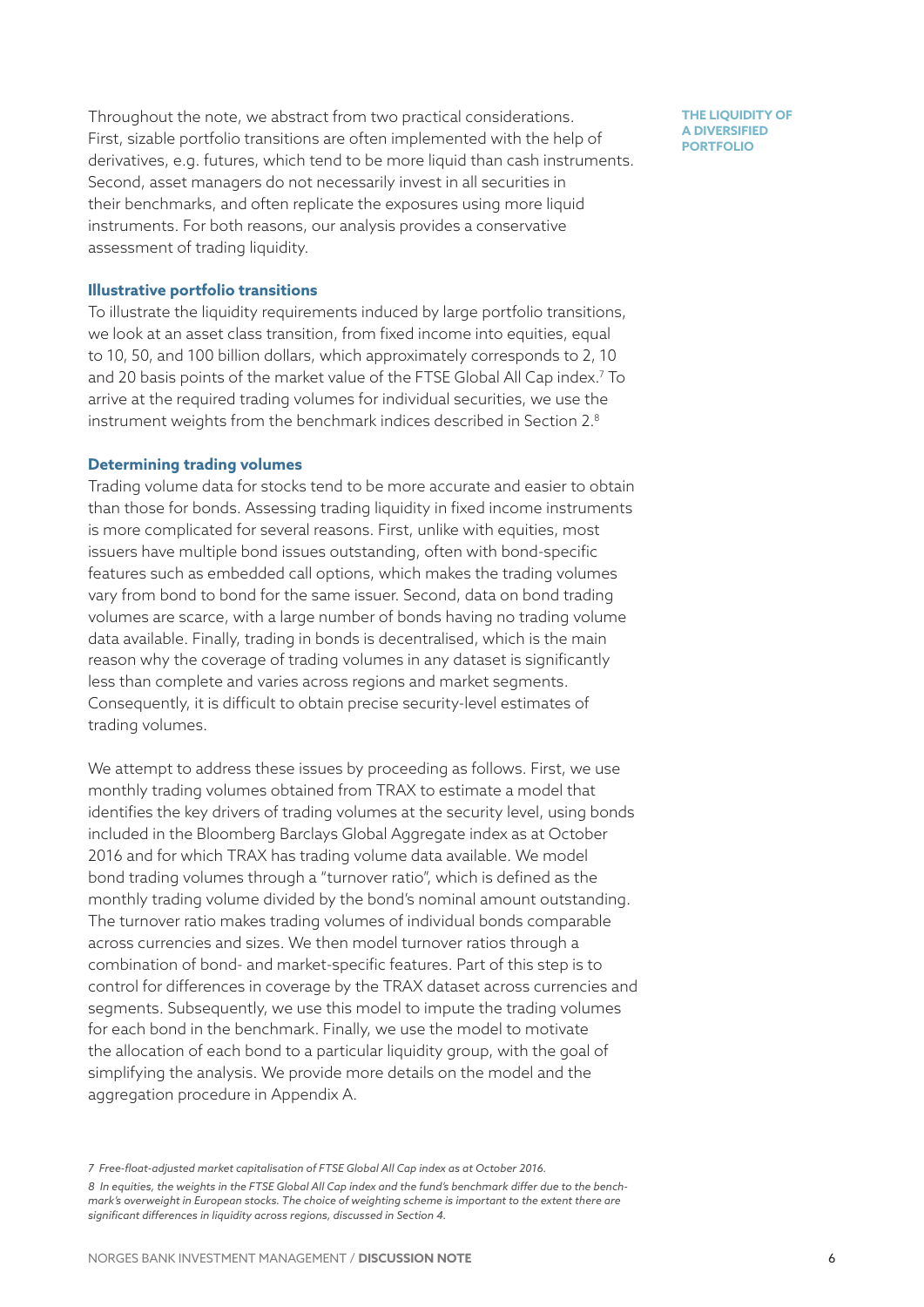Throughout the note, we abstract from two practical considerations. First, sizable portfolio transitions are often implemented with the help of derivatives, e.g. futures, which tend to be more liquid than cash instruments. Second, asset managers do not necessarily invest in all securities in their benchmarks, and often replicate the exposures using more liquid instruments. For both reasons, our analysis provides a conservative assessment of trading liquidity.

#### **Illustrative portfolio transitions**

To illustrate the liquidity requirements induced by large portfolio transitions, we look at an asset class transition, from fixed income into equities, equal to 10, 50, and 100 billion dollars, which approximately corresponds to 2, 10 and 20 basis points of the market value of the FTSE Global All Cap index.7 To arrive at the required trading volumes for individual securities, we use the instrument weights from the benchmark indices described in Section 2.8

#### **Determining trading volumes**

Trading volume data for stocks tend to be more accurate and easier to obtain than those for bonds. Assessing trading liquidity in fixed income instruments is more complicated for several reasons. First, unlike with equities, most issuers have multiple bond issues outstanding, often with bond-specific features such as embedded call options, which makes the trading volumes vary from bond to bond for the same issuer. Second, data on bond trading volumes are scarce, with a large number of bonds having no trading volume data available. Finally, trading in bonds is decentralised, which is the main reason why the coverage of trading volumes in any dataset is significantly less than complete and varies across regions and market segments. Consequently, it is difficult to obtain precise security-level estimates of trading volumes.

We attempt to address these issues by proceeding as follows. First, we use monthly trading volumes obtained from TRAX to estimate a model that identifies the key drivers of trading volumes at the security level, using bonds included in the Bloomberg Barclays Global Aggregate index as at October 2016 and for which TRAX has trading volume data available. We model bond trading volumes through a "turnover ratio", which is defined as the monthly trading volume divided by the bond's nominal amount outstanding. The turnover ratio makes trading volumes of individual bonds comparable across currencies and sizes. We then model turnover ratios through a combination of bond- and market-specific features. Part of this step is to control for differences in coverage by the TRAX dataset across currencies and segments. Subsequently, we use this model to impute the trading volumes for each bond in the benchmark. Finally, we use the model to motivate the allocation of each bond to a particular liquidity group, with the goal of simplifying the analysis. We provide more details on the model and the aggregation procedure in Appendix A.

*<sup>7</sup> Free-float-adjusted market capitalisation of FTSE Global All Cap index as at October 2016. 8 In equities, the weights in the FTSE Global All Cap index and the fund's benchmark differ due to the benchmark's overweight in European stocks. The choice of weighting scheme is important to the extent there are significant differences in liquidity across regions, discussed in Section 4.*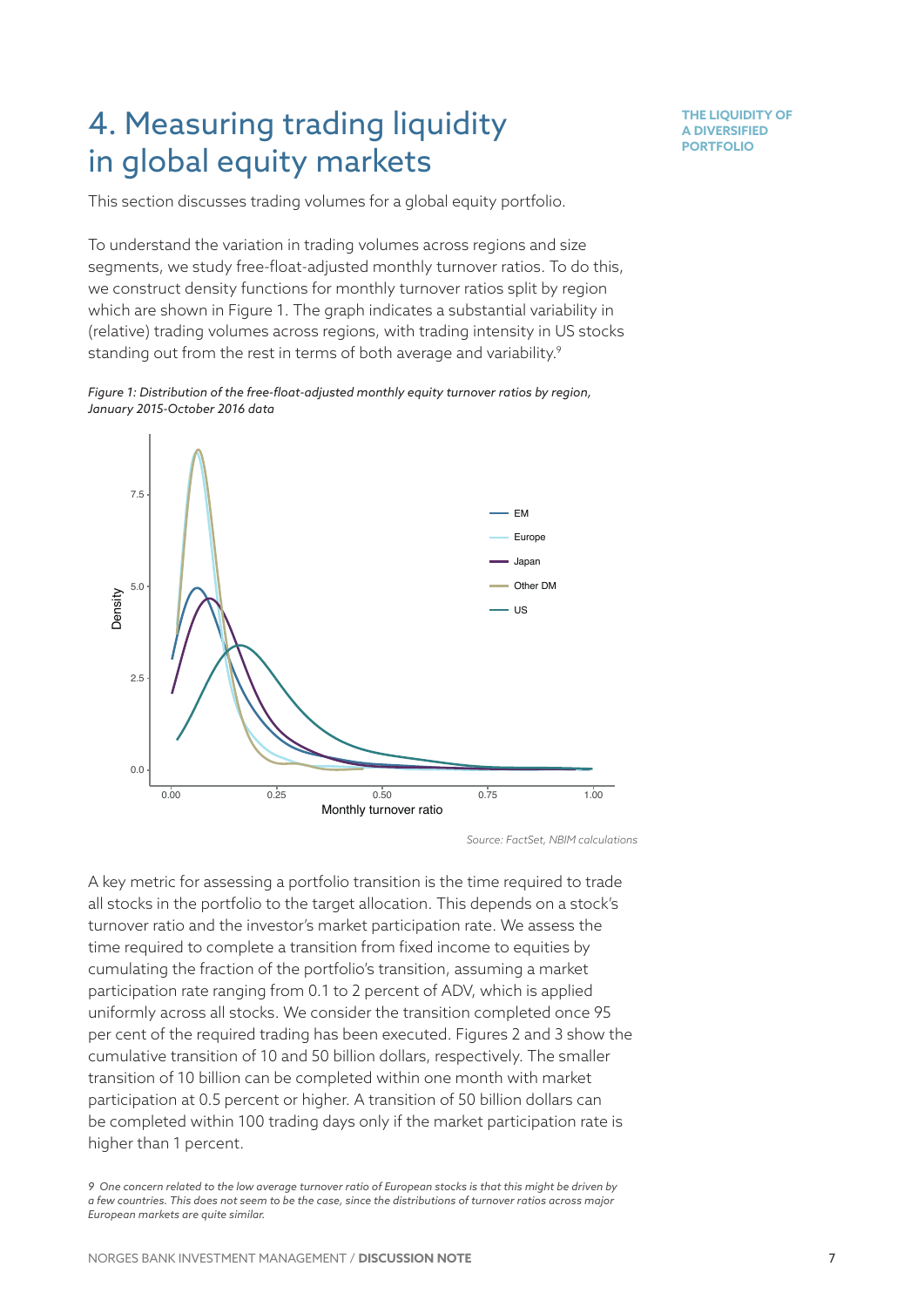### 4. Measuring trading liquidity in global equity markets

**THE LIQUIDITY OF A DIVERSIFIED PORTFOLIO**

This section discusses trading volumes for a global equity portfolio.

To understand the variation in trading volumes across regions and size segments, we study free-float-adjusted monthly turnover ratios. To do this, we construct density functions for monthly turnover ratios split by region which are shown in Figure 1. The graph indicates a substantial variability in (relative) trading volumes across regions, with trading intensity in US stocks standing out from the rest in terms of both average and variability.<sup>9</sup>





*Source: FactSet, NBIM calculations*

A key metric for assessing a portfolio transition is the time required to trade all stocks in the portfolio to the target allocation. This depends on a stock's turnover ratio and the investor's market participation rate. We assess the time required to complete a transition from fixed income to equities by cumulating the fraction of the portfolio's transition, assuming a market participation rate ranging from 0.1 to 2 percent of ADV, which is applied uniformly across all stocks. We consider the transition completed once 95 per cent of the required trading has been executed. Figures 2 and 3 show the cumulative transition of 10 and 50 billion dollars, respectively. The smaller transition of 10 billion can be completed within one month with market participation at 0.5 percent or higher. A transition of 50 billion dollars can be completed within 100 trading days only if the market participation rate is higher than 1 percent.

*<sup>9</sup> One concern related to the low average turnover ratio of European stocks is that this might be driven by a few countries. This does not seem to be the case, since the distributions of turnover ratios across major European markets are quite similar.*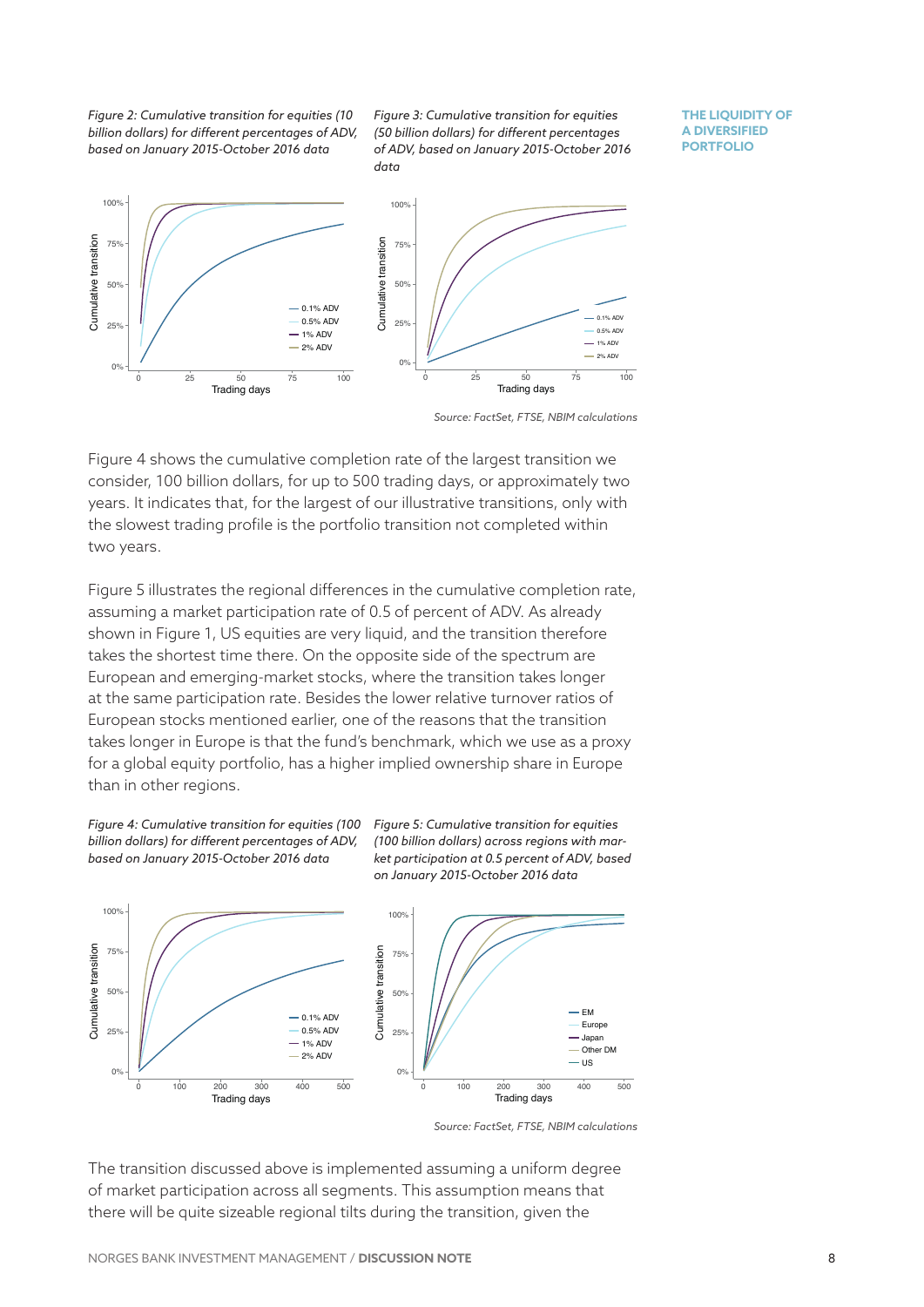*Figure 2: Cumulative transition for equities (10 billion dollars) for different percentages of ADV, based on January 2015-October 2016 data*

*Figure 3: Cumulative transition for equities (50 billion dollars) for different percentages of ADV, based on January 2015-October 2016 data*

**THE LIQUIDITY OF A DIVERSIFIED PORTFOLIO**



*Source: FactSet, FTSE, NBIM calculations*

Figure 4 shows the cumulative completion rate of the largest transition we consider, 100 billion dollars, for up to 500 trading days, or approximately two years. It indicates that, for the largest of our illustrative transitions, only with the slowest trading profile is the portfolio transition not completed within two years.

Figure 5 illustrates the regional differences in the cumulative completion rate, assuming a market participation rate of 0.5 of percent of ADV. As already shown in Figure 1, US equities are very liquid, and the transition therefore takes the shortest time there. On the opposite side of the spectrum are European and emerging-market stocks, where the transition takes longer at the same participation rate. Besides the lower relative turnover ratios of European stocks mentioned earlier, one of the reasons that the transition takes longer in Europe is that the fund's benchmark, which we use as a proxy for a global equity portfolio, has a higher implied ownership share in Europe than in other regions.



*Figure 5: Cumulative transition for equities (100 billion dollars) across regions with market participation at 0.5 percent of ADV, based on January 2015-October 2016 data*



*Source: FactSet, FTSE, NBIM calculations*

The transition discussed above is implemented assuming a uniform degree of market participation across all segments. This assumption means that there will be quite sizeable regional tilts during the transition, given the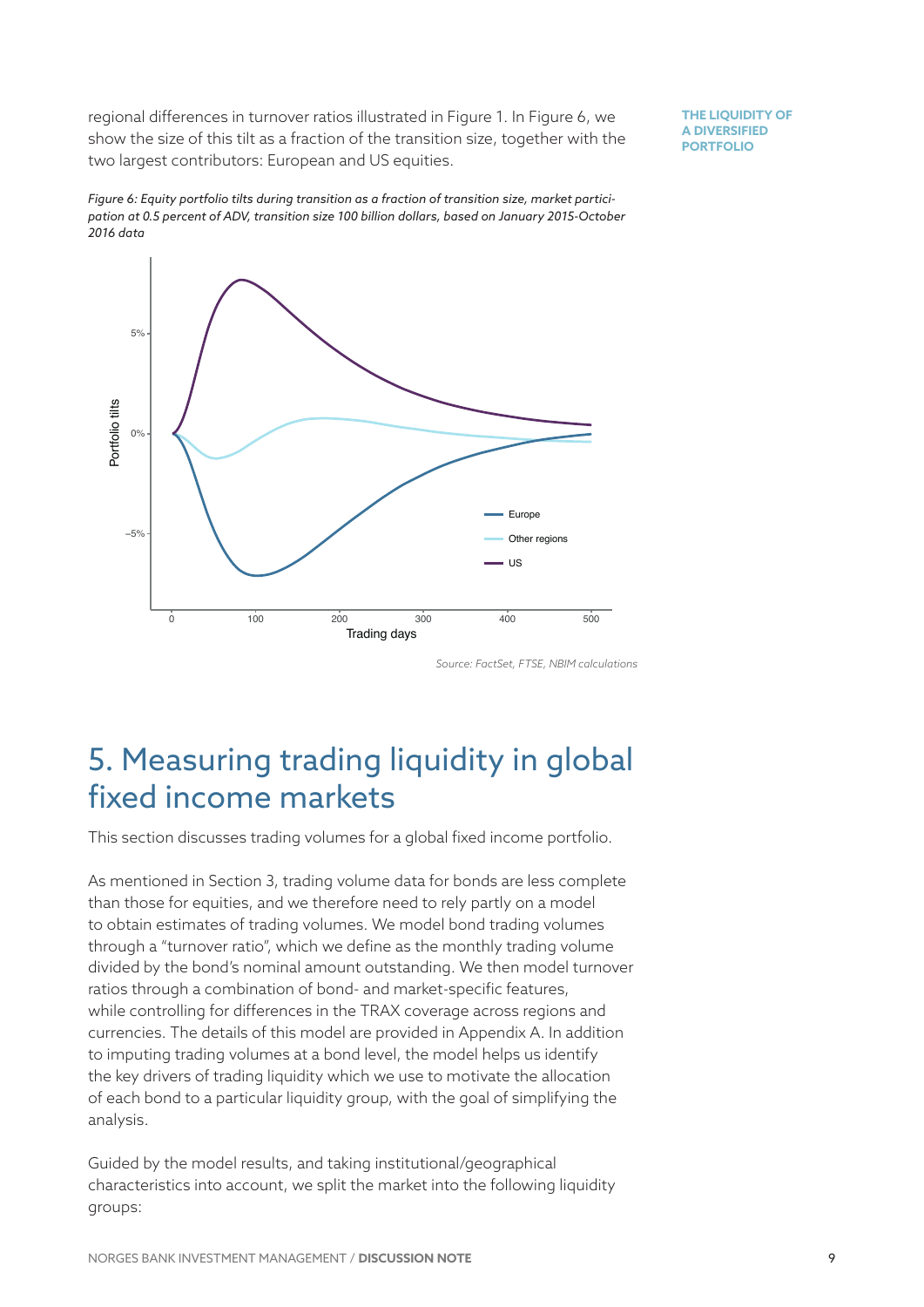regional differences in turnover ratios illustrated in Figure 1. In Figure 6, we show the size of this tilt as a fraction of the transition size, together with the two largest contributors: European and US equities.

**THE LIQUIDITY OF A DIVERSIFIED PORTFOLIO**

*Figure 6: Equity portfolio tilts during transition as a fraction of transition size, market participation at 0.5 percent of ADV, transition size 100 billion dollars, based on January 2015-October 2016 data*



*Source: FactSet, FTSE, NBIM calculations*

## 5. Measuring trading liquidity in global fixed income markets

This section discusses trading volumes for a global fixed income portfolio.

As mentioned in Section 3, trading volume data for bonds are less complete than those for equities, and we therefore need to rely partly on a model to obtain estimates of trading volumes. We model bond trading volumes through a "turnover ratio", which we define as the monthly trading volume divided by the bond's nominal amount outstanding. We then model turnover ratios through a combination of bond- and market-specific features, while controlling for differences in the TRAX coverage across regions and currencies. The details of this model are provided in Appendix A. In addition to imputing trading volumes at a bond level, the model helps us identify the key drivers of trading liquidity which we use to motivate the allocation of each bond to a particular liquidity group, with the goal of simplifying the analysis.

Guided by the model results, and taking institutional/geographical characteristics into account, we split the market into the following liquidity groups: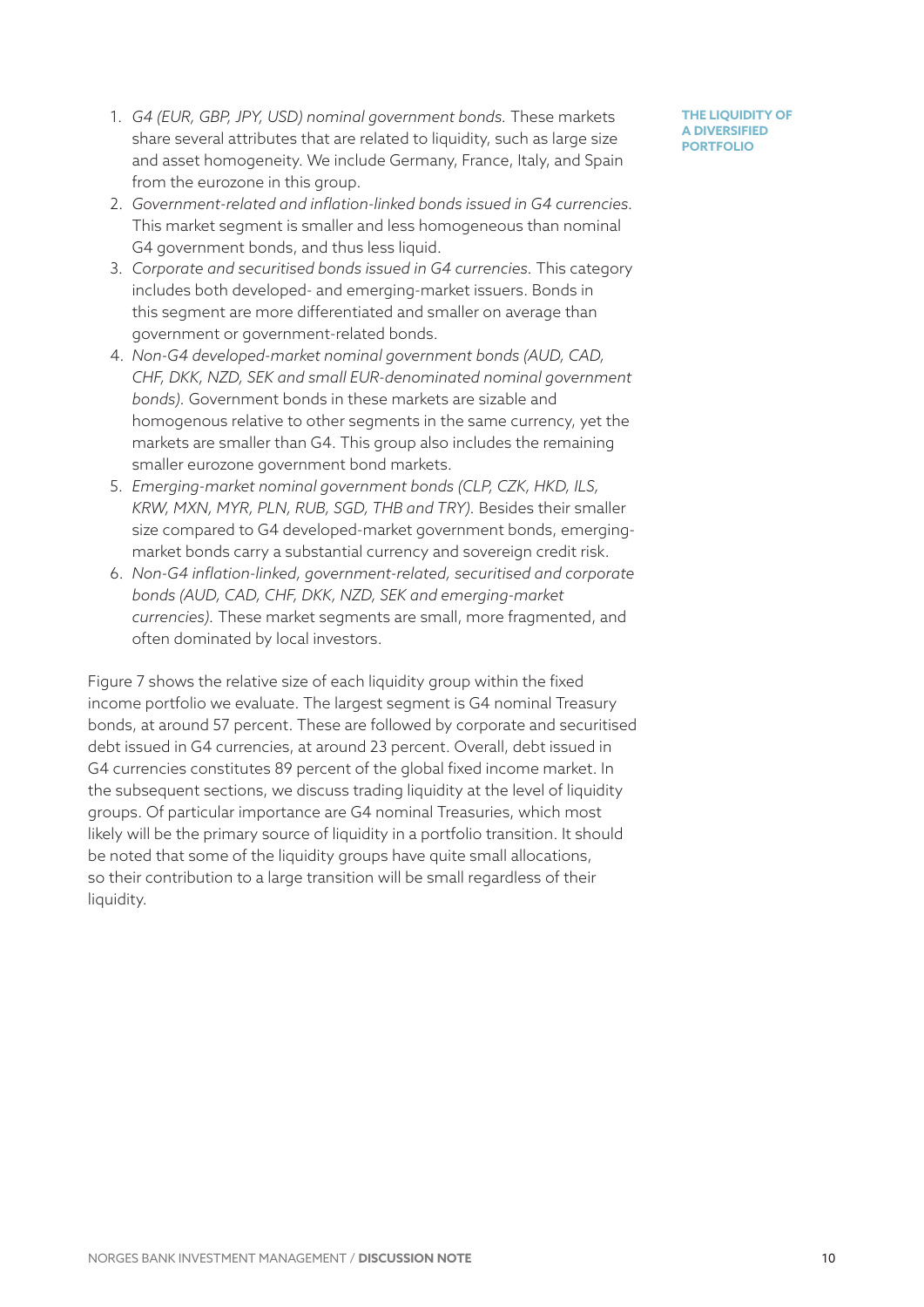- 1. *G4 (EUR, GBP, JPY, USD) nominal government bonds.* These markets share several attributes that are related to liquidity, such as large size and asset homogeneity. We include Germany, France, Italy, and Spain from the eurozone in this group.
- 2. *Government-related and inflation-linked bonds issued in G4 currencies.* This market segment is smaller and less homogeneous than nominal G4 government bonds, and thus less liquid.
- 3. *Corporate and securitised bonds issued in G4 currencies.* This category includes both developed- and emerging-market issuers. Bonds in this segment are more differentiated and smaller on average than government or government-related bonds.
- 4. *Non-G4 developed-market nominal government bonds (AUD, CAD, CHF, DKK, NZD, SEK and small EUR-denominated nominal government bonds).* Government bonds in these markets are sizable and homogenous relative to other segments in the same currency, yet the markets are smaller than G4. This group also includes the remaining smaller eurozone government bond markets.
- 5. *Emerging-market nominal government bonds (CLP, CZK, HKD, ILS, KRW, MXN, MYR, PLN, RUB, SGD, THB and TRY).* Besides their smaller size compared to G4 developed-market government bonds, emergingmarket bonds carry a substantial currency and sovereign credit risk.
- 6. *Non-G4 inflation-linked, government-related, securitised and corporate bonds (AUD, CAD, CHF, DKK, NZD, SEK and emerging-market currencies).* These market segments are small, more fragmented, and often dominated by local investors.

Figure 7 shows the relative size of each liquidity group within the fixed income portfolio we evaluate. The largest segment is G4 nominal Treasury bonds, at around 57 percent. These are followed by corporate and securitised debt issued in G4 currencies, at around 23 percent. Overall, debt issued in G4 currencies constitutes 89 percent of the global fixed income market. In the subsequent sections, we discuss trading liquidity at the level of liquidity groups. Of particular importance are G4 nominal Treasuries, which most likely will be the primary source of liquidity in a portfolio transition. It should be noted that some of the liquidity groups have quite small allocations, so their contribution to a large transition will be small regardless of their liquidity.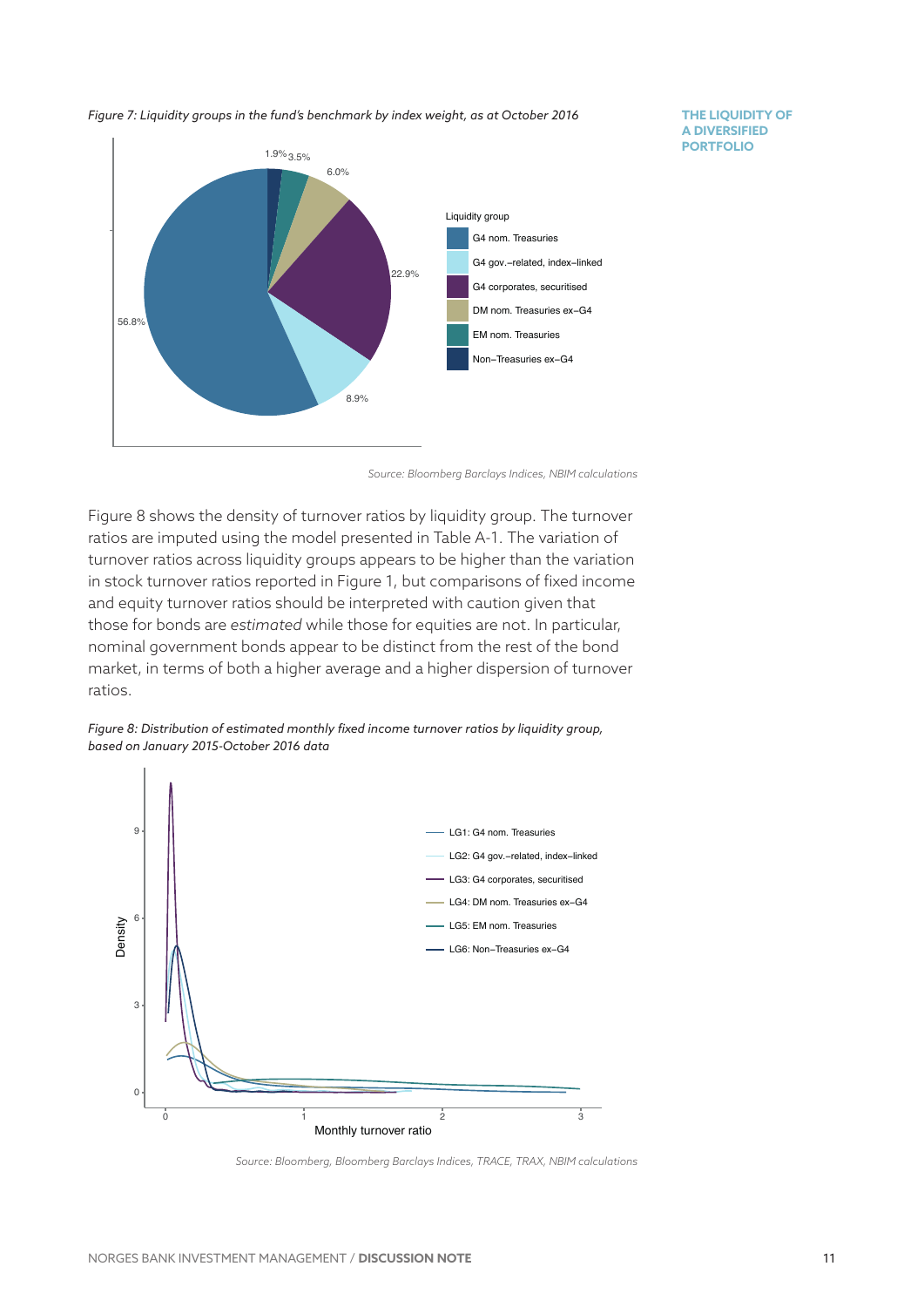*Figure 7: Liquidity groups in the fund's benchmark by index weight, as at October 2016*



**THE LIQUIDITY OF A DIVERSIFIED PORTFOLIO**

*Source: Bloomberg Barclays Indices, NBIM calculations*

Figure 8 shows the density of turnover ratios by liquidity group. The turnover ratios are imputed using the model presented in Table A-1. The variation of turnover ratios across liquidity groups appears to be higher than the variation in stock turnover ratios reported in Figure 1, but comparisons of fixed income and equity turnover ratios should be interpreted with caution given that those for bonds are *estimated* while those for equities are not. In particular, nominal government bonds appear to be distinct from the rest of the bond market, in terms of both a higher average and a higher dispersion of turnover ratios.



*Figure 8: Distribution of estimated monthly fixed income turnover ratios by liquidity group, based on January 2015-October 2016 data*

*Source: Bloomberg, Bloomberg Barclays Indices, TRACE, TRAX, NBIM calculations*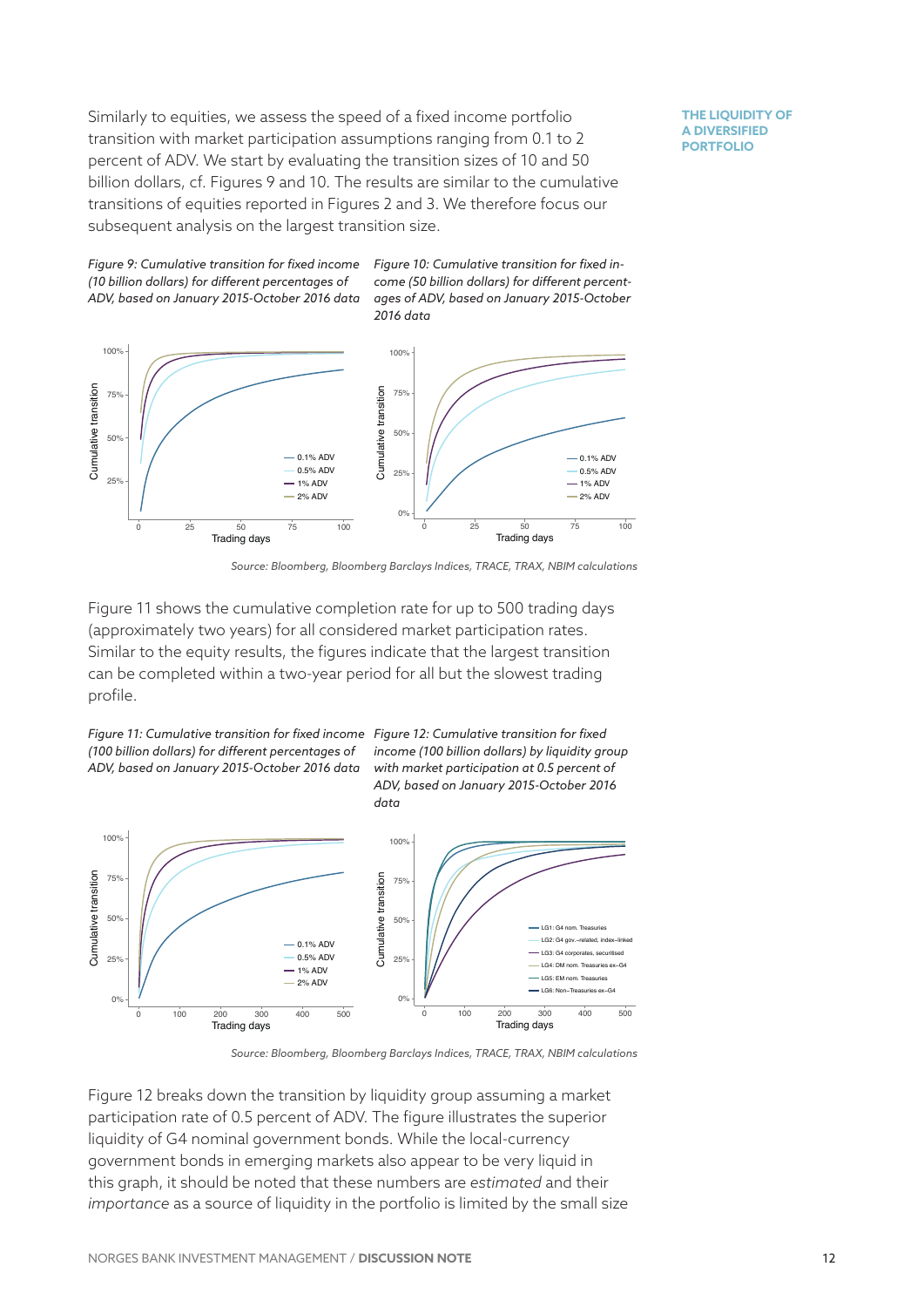Similarly to equities, we assess the speed of a fixed income portfolio transition with market participation assumptions ranging from 0.1 to 2 percent of ADV. We start by evaluating the transition sizes of 10 and 50 billion dollars, cf. Figures 9 and 10. The results are similar to the cumulative transitions of equities reported in Figures 2 and 3. We therefore focus our subsequent analysis on the largest transition size.

**THE LIQUIDITY OF A DIVERSIFIED PORTFOLIO**



*Figure 10: Cumulative transition for fixed income (50 billion dollars) for different percentages of ADV, based on January 2015-October 2016 data*



*Source: Bloomberg, Bloomberg Barclays Indices, TRACE, TRAX, NBIM calculations*

Figure 11 shows the cumulative completion rate for up to 500 trading days (approximately two years) for all considered market participation rates. Similar to the equity results, the figures indicate that the largest transition can be completed within a two-year period for all but the slowest trading profile.



*income (100 billion dollars) by liquidity group with market participation at 0.5 percent of ADV, based on January 2015-October 2016 data*



*Source: Bloomberg, Bloomberg Barclays Indices, TRACE, TRAX, NBIM calculations*

Figure 12 breaks down the transition by liquidity group assuming a market participation rate of 0.5 percent of ADV. The figure illustrates the superior liquidity of G4 nominal government bonds. While the local-currency government bonds in emerging markets also appear to be very liquid in this graph, it should be noted that these numbers are *estimated* and their *importance* as a source of liquidity in the portfolio is limited by the small size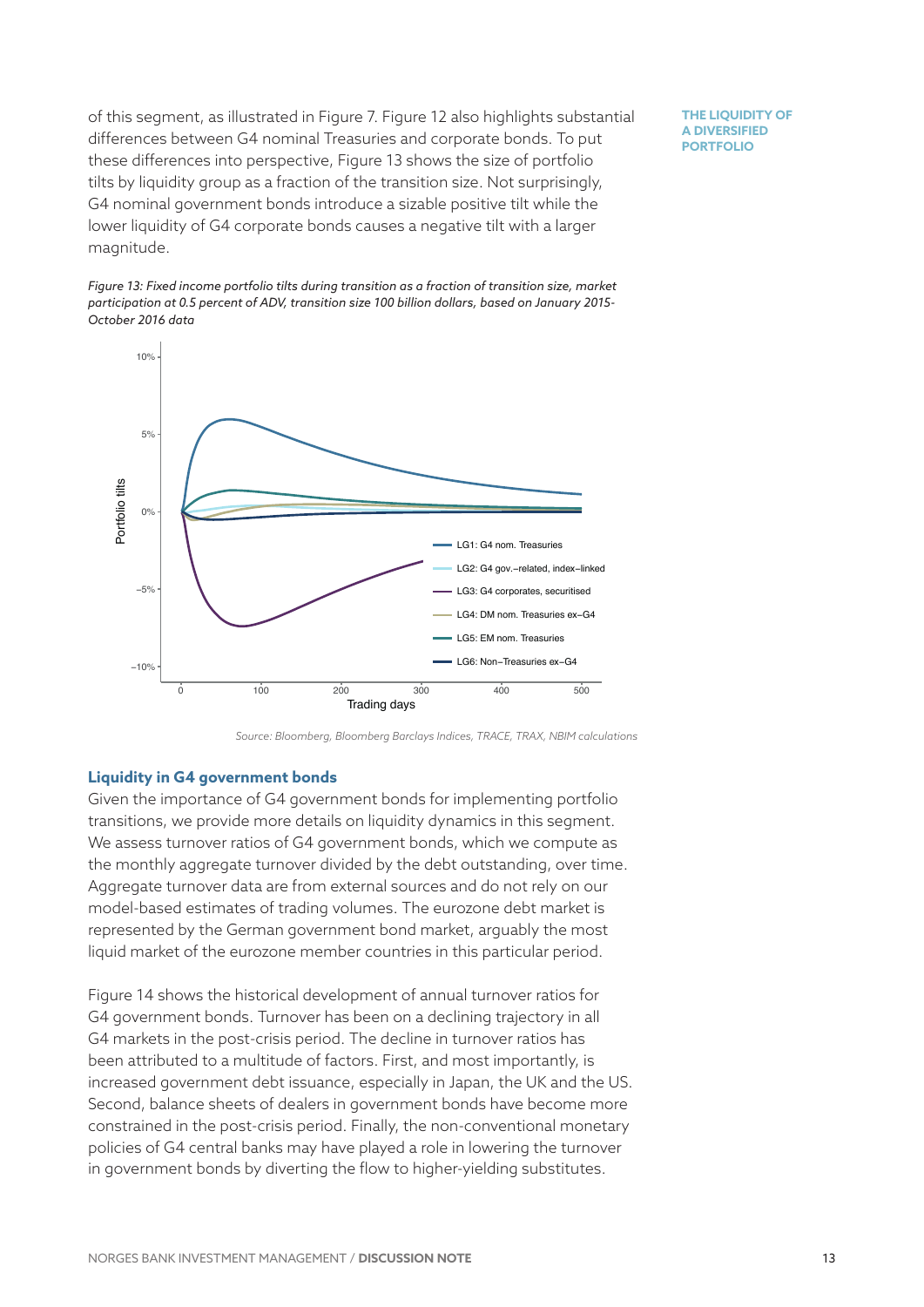of this segment, as illustrated in Figure 7. Figure 12 also highlights substantial differences between G4 nominal Treasuries and corporate bonds. To put these differences into perspective, Figure 13 shows the size of portfolio tilts by liquidity group as a fraction of the transition size. Not surprisingly, G4 nominal government bonds introduce a sizable positive tilt while the lower liquidity of G4 corporate bonds causes a negative tilt with a larger magnitude.

**THE LIQUIDITY OF A DIVERSIFIED PORTFOLIO**





*Source: Bloomberg, Bloomberg Barclays Indices, TRACE, TRAX, NBIM calculations*

#### **Liquidity in G4 government bonds**

Given the importance of G4 government bonds for implementing portfolio transitions, we provide more details on liquidity dynamics in this segment. We assess turnover ratios of G4 government bonds, which we compute as the monthly aggregate turnover divided by the debt outstanding, over time. Aggregate turnover data are from external sources and do not rely on our model-based estimates of trading volumes. The eurozone debt market is represented by the German government bond market, arguably the most liquid market of the eurozone member countries in this particular period.

Figure 14 shows the historical development of annual turnover ratios for G4 government bonds. Turnover has been on a declining trajectory in all G4 markets in the post-crisis period. The decline in turnover ratios has been attributed to a multitude of factors. First, and most importantly, is increased government debt issuance, especially in Japan, the UK and the US. Second, balance sheets of dealers in government bonds have become more constrained in the post-crisis period. Finally, the non-conventional monetary policies of G4 central banks may have played a role in lowering the turnover in government bonds by diverting the flow to higher-yielding substitutes.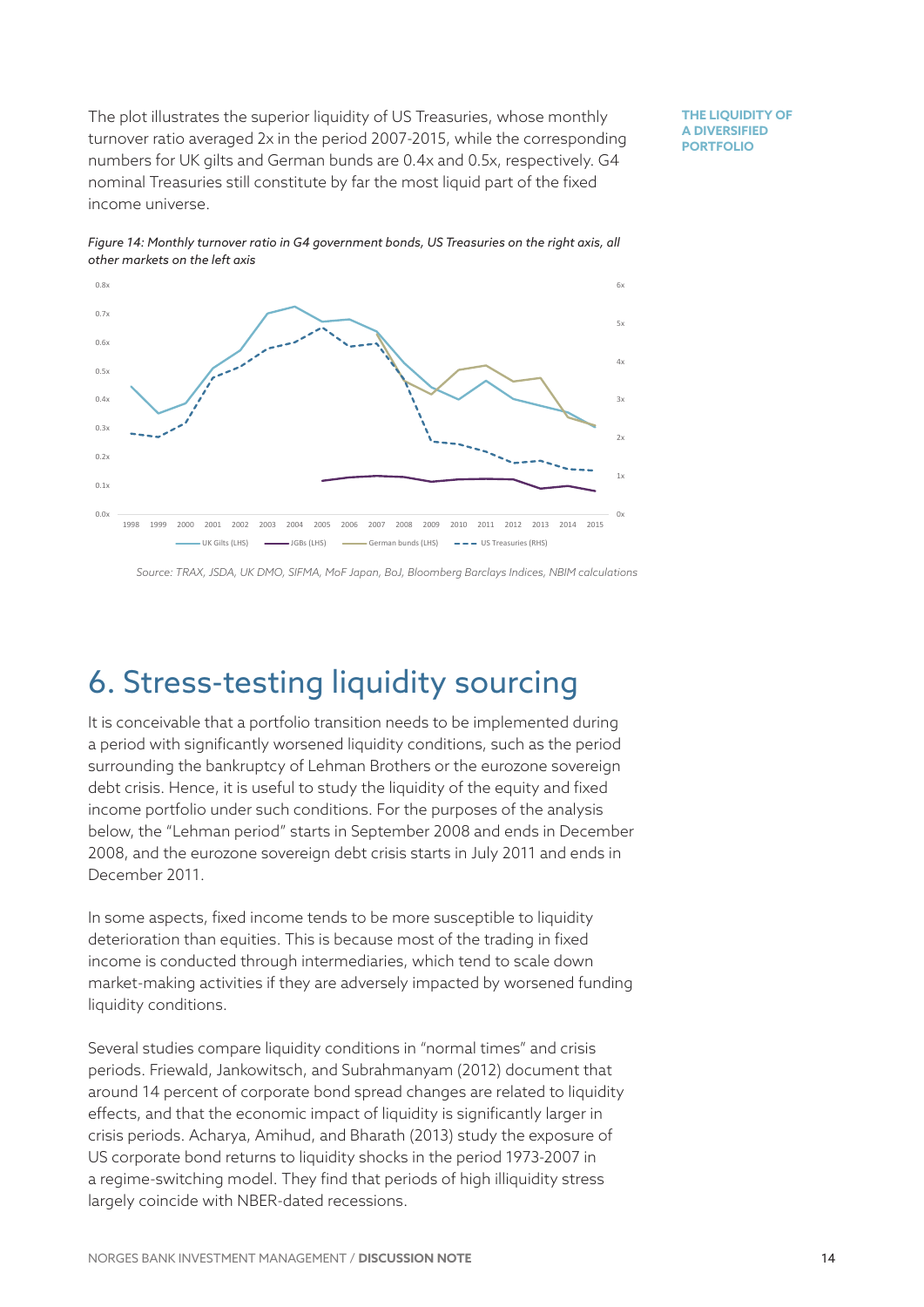The plot illustrates the superior liquidity of US Treasuries, whose monthly turnover ratio averaged 2x in the period 2007-2015, while the corresponding numbers for UK gilts and German bunds are 0.4x and 0.5x, respectively. G4 nominal Treasuries still constitute by far the most liquid part of the fixed income universe.

**THE LIQUIDITY OF A DIVERSIFIED PORTFOLIO**



*Figure 14: Monthly turnover ratio in G4 government bonds, US Treasuries on the right axis, all other markets on the left axis*

*Source: TRAX, JSDA, UK DMO, SIFMA, MoF Japan, BoJ, Bloomberg Barclays Indices, NBIM calculations*

# 6. Stress-testing liquidity sourcing

It is conceivable that a portfolio transition needs to be implemented during a period with significantly worsened liquidity conditions, such as the period surrounding the bankruptcy of Lehman Brothers or the eurozone sovereign debt crisis. Hence, it is useful to study the liquidity of the equity and fixed income portfolio under such conditions. For the purposes of the analysis below, the "Lehman period" starts in September 2008 and ends in December 2008, and the eurozone sovereign debt crisis starts in July 2011 and ends in December 2011.

In some aspects, fixed income tends to be more susceptible to liquidity deterioration than equities. This is because most of the trading in fixed income is conducted through intermediaries, which tend to scale down market-making activities if they are adversely impacted by worsened funding liquidity conditions.

Several studies compare liquidity conditions in "normal times" and crisis periods. Friewald, Jankowitsch, and Subrahmanyam (2012) document that around 14 percent of corporate bond spread changes are related to liquidity effects, and that the economic impact of liquidity is significantly larger in crisis periods. Acharya, Amihud, and Bharath (2013) study the exposure of US corporate bond returns to liquidity shocks in the period 1973-2007 in a regime-switching model. They find that periods of high illiquidity stress largely coincide with NBER-dated recessions.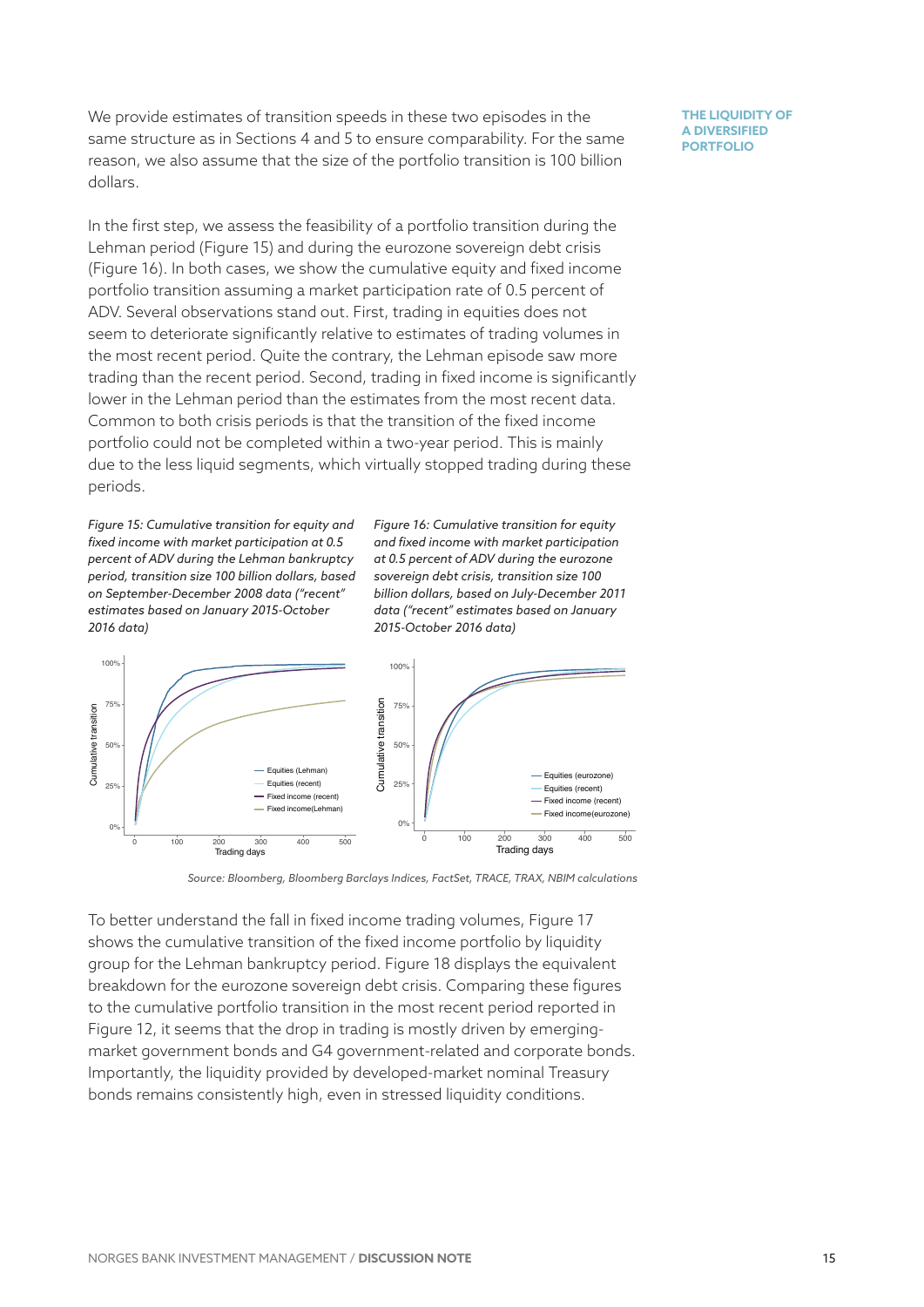We provide estimates of transition speeds in these two episodes in the same structure as in Sections 4 and 5 to ensure comparability. For the same reason, we also assume that the size of the portfolio transition is 100 billion dollars.

In the first step, we assess the feasibility of a portfolio transition during the Lehman period (Figure 15) and during the eurozone sovereign debt crisis (Figure 16). In both cases, we show the cumulative equity and fixed income portfolio transition assuming a market participation rate of 0.5 percent of ADV. Several observations stand out. First, trading in equities does not seem to deteriorate significantly relative to estimates of trading volumes in the most recent period. Quite the contrary, the Lehman episode saw more trading than the recent period. Second, trading in fixed income is significantly lower in the Lehman period than the estimates from the most recent data. Common to both crisis periods is that the transition of the fixed income portfolio could not be completed within a two-year period. This is mainly due to the less liquid segments, which virtually stopped trading during these periods.

*Figure 15: Cumulative transition for equity and fixed income with market participation at 0.5 percent of ADV during the Lehman bankruptcy period, transition size 100 billion dollars, based on September-December 2008 data ("recent" estimates based on January 2015-October 2016 data)*

*Figure 16: Cumulative transition for equity and fixed income with market participation at 0.5 percent of ADV during the eurozone sovereign debt crisis, transition size 100 billion dollars, based on July-December 2011 data ("recent" estimates based on January 2015-October 2016 data)*



*Source: Bloomberg, Bloomberg Barclays Indices, FactSet, TRACE, TRAX, NBIM calculations* 

To better understand the fall in fixed income trading volumes, Figure 17 shows the cumulative transition of the fixed income portfolio by liquidity group for the Lehman bankruptcy period. Figure 18 displays the equivalent breakdown for the eurozone sovereign debt crisis. Comparing these figures to the cumulative portfolio transition in the most recent period reported in Figure 12, it seems that the drop in trading is mostly driven by emergingmarket government bonds and G4 government-related and corporate bonds. Importantly, the liquidity provided by developed-market nominal Treasury bonds remains consistently high, even in stressed liquidity conditions.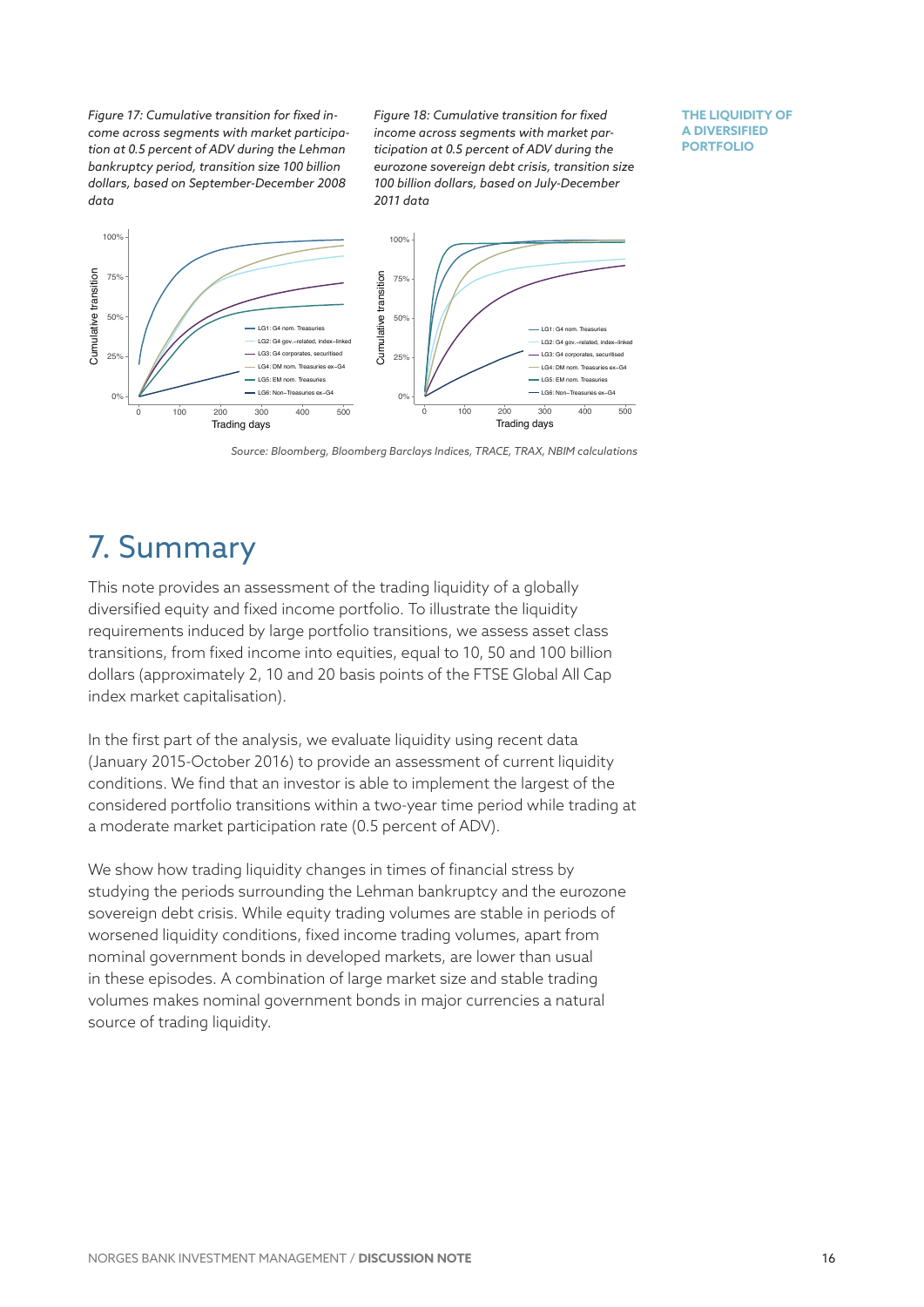*Figure 17: Cumulative transition for fixed income across segments with market participation at 0.5 percent of ADV during the Lehman bankruptcy period, transition size 100 billion dollars, based on September-December 2008 data*

*Figure 18: Cumulative transition for fixed income across segments with market participation at 0.5 percent of ADV during the eurozone sovereign debt crisis, transition size 100 billion dollars, based on July-December 2011 data*

**THE LIQUIDITY OF A DIVERSIFIED PORTFOLIO**



*Source: Bloomberg, Bloomberg Barclays Indices, TRACE, TRAX, NBIM calculations*

### 7. Summary

This note provides an assessment of the trading liquidity of a globally diversified equity and fixed income portfolio. To illustrate the liquidity requirements induced by large portfolio transitions, we assess asset class transitions, from fixed income into equities, equal to 10, 50 and 100 billion dollars (approximately 2, 10 and 20 basis points of the FTSE Global All Cap index market capitalisation).

In the first part of the analysis, we evaluate liquidity using recent data (January 2015-October 2016) to provide an assessment of current liquidity conditions. We find that an investor is able to implement the largest of the considered portfolio transitions within a two-year time period while trading at a moderate market participation rate (0.5 percent of ADV).

We show how trading liquidity changes in times of financial stress by studying the periods surrounding the Lehman bankruptcy and the eurozone sovereign debt crisis. While equity trading volumes are stable in periods of worsened liquidity conditions, fixed income trading volumes, apart from nominal government bonds in developed markets, are lower than usual in these episodes. A combination of large market size and stable trading volumes makes nominal government bonds in major currencies a natural source of trading liquidity.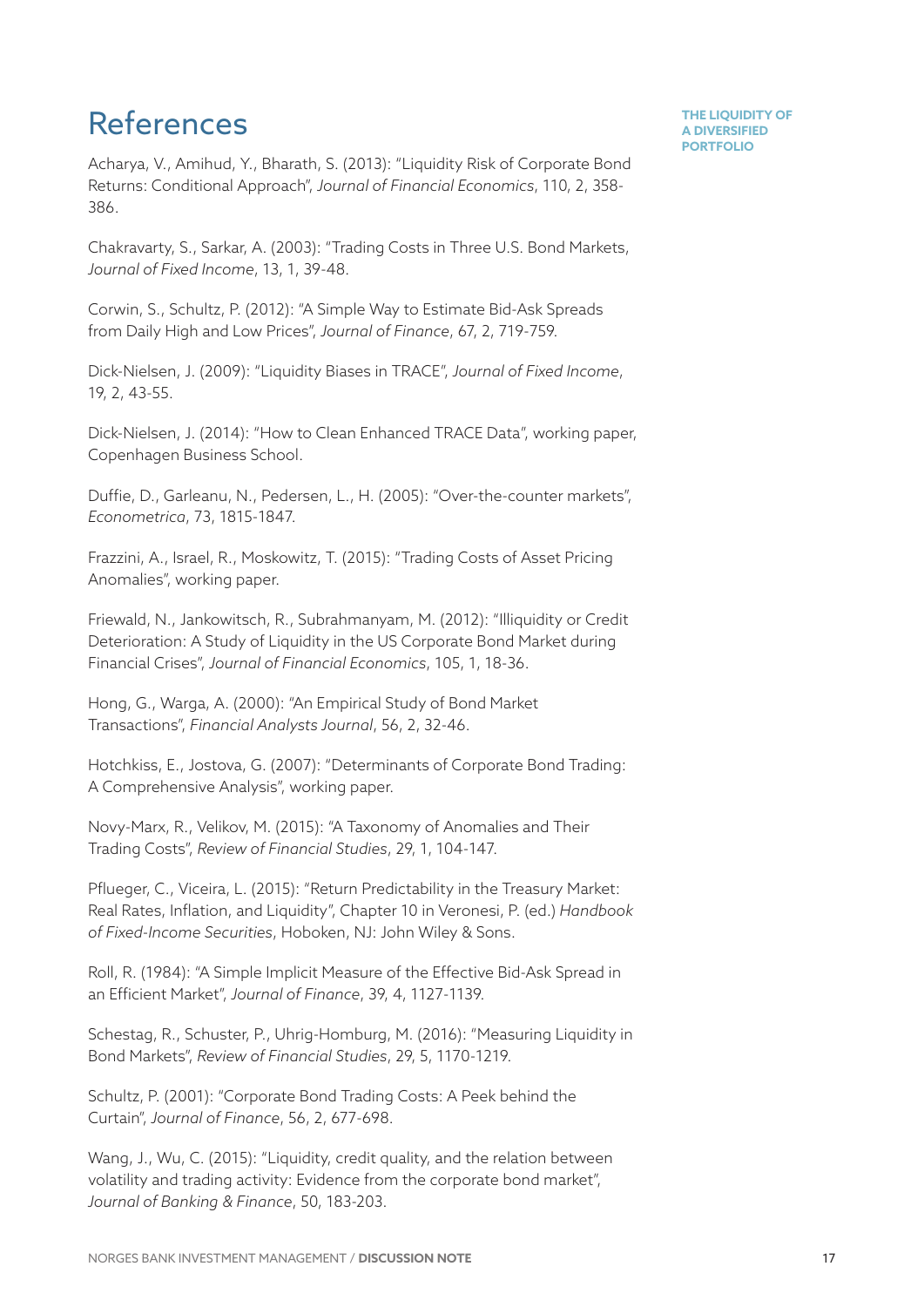### References

Acharya, V., Amihud, Y., Bharath, S. (2013): "Liquidity Risk of Corporate Bond Returns: Conditional Approach", *Journal of Financial Economics*, 110, 2, 358- 386.

Chakravarty, S., Sarkar, A. (2003): "Trading Costs in Three U.S. Bond Markets, *Journal of Fixed Income*, 13, 1, 39-48.

Corwin, S., Schultz, P. (2012): "A Simple Way to Estimate Bid-Ask Spreads from Daily High and Low Prices", *Journal of Finance*, 67, 2, 719-759.

Dick-Nielsen, J. (2009): "Liquidity Biases in TRACE", *Journal of Fixed Income*, 19, 2, 43-55.

Dick-Nielsen, J. (2014): "How to Clean Enhanced TRACE Data", working paper, Copenhagen Business School.

Duffie, D., Garleanu, N., Pedersen, L., H. (2005): "Over-the-counter markets", *Econometrica*, 73, 1815-1847.

Frazzini, A., Israel, R., Moskowitz, T. (2015): "Trading Costs of Asset Pricing Anomalies", working paper.

Friewald, N., Jankowitsch, R., Subrahmanyam, M. (2012): "Illiquidity or Credit Deterioration: A Study of Liquidity in the US Corporate Bond Market during Financial Crises", *Journal of Financial Economics*, 105, 1, 18-36.

Hong, G., Warga, A. (2000): "An Empirical Study of Bond Market Transactions", *Financial Analysts Journal*, 56, 2, 32-46.

Hotchkiss, E., Jostova, G. (2007): "Determinants of Corporate Bond Trading: A Comprehensive Analysis", working paper.

Novy-Marx, R., Velikov, M. (2015): "A Taxonomy of Anomalies and Their Trading Costs", *Review of Financial Studies*, 29, 1, 104-147.

Pflueger, C., Viceira, L. (2015): "Return Predictability in the Treasury Market: Real Rates, Inflation, and Liquidity", Chapter 10 in Veronesi, P. (ed.) *Handbook of Fixed-Income Securities*, Hoboken, NJ: John Wiley & Sons.

Roll, R. (1984): "A Simple Implicit Measure of the Effective Bid-Ask Spread in an Efficient Market", *Journal of Finance*, 39, 4, 1127-1139.

Schestag, R., Schuster, P., Uhrig-Homburg, M. (2016): "Measuring Liquidity in Bond Markets", *Review of Financial Studies*, 29, 5, 1170-1219.

Schultz, P. (2001): "Corporate Bond Trading Costs: A Peek behind the Curtain", *Journal of Finance*, 56, 2, 677-698.

Wang, J., Wu, C. (2015): "Liquidity, credit quality, and the relation between volatility and trading activity: Evidence from the corporate bond market", *Journal of Banking & Finance*, 50, 183-203.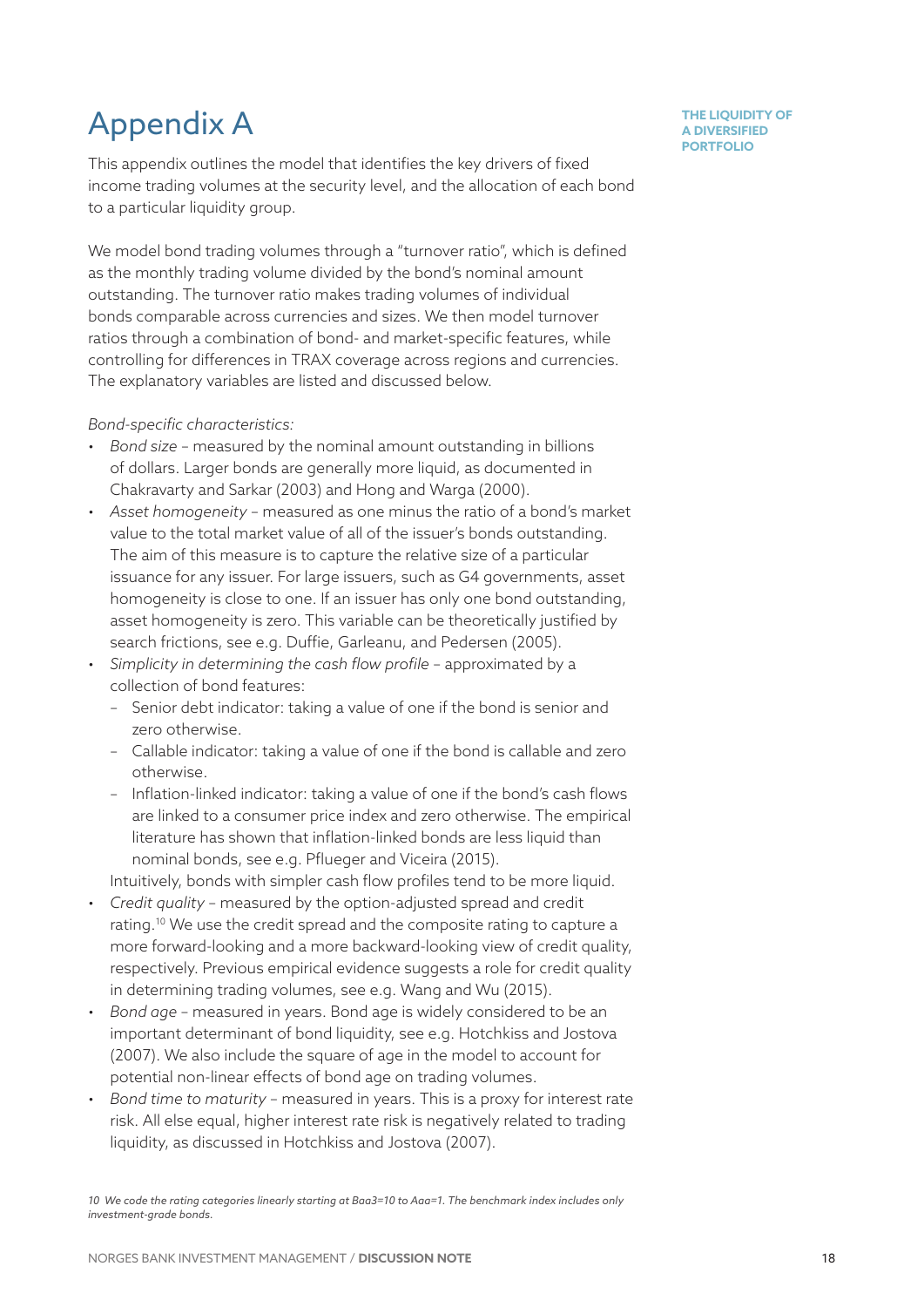# Appendix A

This appendix outlines the model that identifies the key drivers of fixed income trading volumes at the security level, and the allocation of each bond to a particular liquidity group.

We model bond trading volumes through a "turnover ratio", which is defined as the monthly trading volume divided by the bond's nominal amount outstanding. The turnover ratio makes trading volumes of individual bonds comparable across currencies and sizes. We then model turnover ratios through a combination of bond- and market-specific features, while controlling for differences in TRAX coverage across regions and currencies. The explanatory variables are listed and discussed below.

#### *Bond-specific characteristics:*

- *Bond size* measured by the nominal amount outstanding in billions of dollars. Larger bonds are generally more liquid, as documented in Chakravarty and Sarkar (2003) and Hong and Warga (2000).
- *Asset homogeneity* measured as one minus the ratio of a bond's market value to the total market value of all of the issuer's bonds outstanding. The aim of this measure is to capture the relative size of a particular issuance for any issuer. For large issuers, such as G4 governments, asset homogeneity is close to one. If an issuer has only one bond outstanding, asset homogeneity is zero. This variable can be theoretically justified by search frictions, see e.g. Duffie, Garleanu, and Pedersen (2005).
- *Simplicity in determining the cash flow profile* approximated by a collection of bond features:
	- Senior debt indicator: taking a value of one if the bond is senior and zero otherwise.
	- Callable indicator: taking a value of one if the bond is callable and zero otherwise.
	- Inflation-linked indicator: taking a value of one if the bond's cash flows are linked to a consumer price index and zero otherwise. The empirical literature has shown that inflation-linked bonds are less liquid than nominal bonds, see e.g. Pflueger and Viceira (2015).

Intuitively, bonds with simpler cash flow profiles tend to be more liquid.

- *Credit quality* measured by the option-adjusted spread and credit rating.10 We use the credit spread and the composite rating to capture a more forward-looking and a more backward-looking view of credit quality, respectively. Previous empirical evidence suggests a role for credit quality in determining trading volumes, see e.g. Wang and Wu (2015).
- *Bond age* measured in years. Bond age is widely considered to be an important determinant of bond liquidity, see e.g. Hotchkiss and Jostova (2007). We also include the square of age in the model to account for potential non-linear effects of bond age on trading volumes.
- *Bond time to maturity* measured in years. This is a proxy for interest rate risk. All else equal, higher interest rate risk is negatively related to trading liquidity, as discussed in Hotchkiss and Jostova (2007).

*10 We code the rating categories linearly starting at Baa3=10 to Aaa=1. The benchmark index includes only investment-grade bonds.*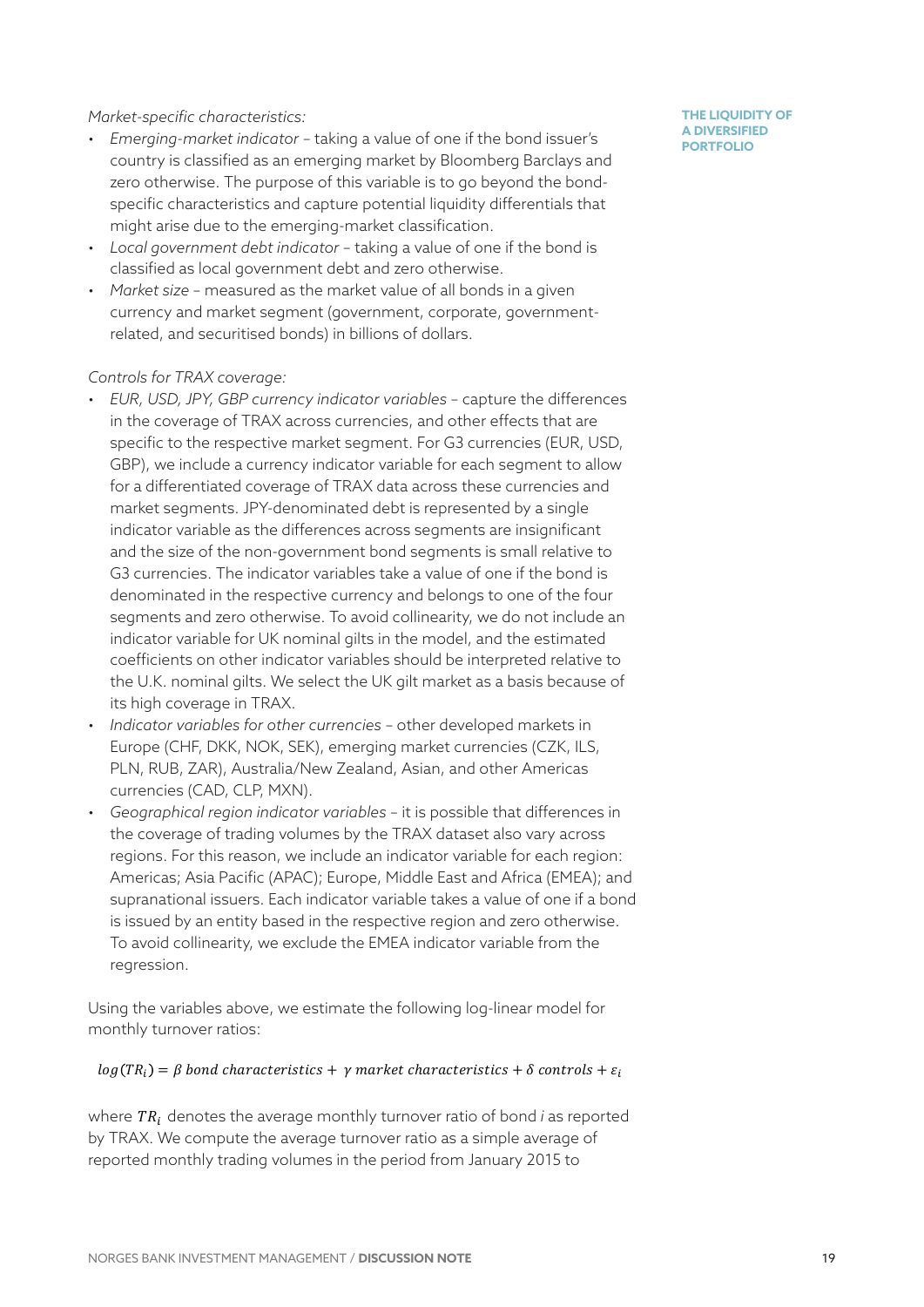#### *Market-specific characteristics:*

- *Emerging-market indicator* taking a value of one if the bond issuer's country is classified as an emerging market by Bloomberg Barclays and zero otherwise. The purpose of this variable is to go beyond the bondspecific characteristics and capture potential liquidity differentials that might arise due to the emerging-market classification.
- *Local government debt indicator* taking a value of one if the bond is classified as local government debt and zero otherwise.
- *Market size* measured as the market value of all bonds in a given currency and market segment (government, corporate, governmentrelated, and securitised bonds) in billions of dollars.

#### *Controls for TRAX coverage:*

- *EUR, USD, JPY, GBP currency indicator variables* capture the differences in the coverage of TRAX across currencies, and other effects that are specific to the respective market segment. For G3 currencies (EUR, USD, GBP), we include a currency indicator variable for each segment to allow for a differentiated coverage of TRAX data across these currencies and market segments. JPY-denominated debt is represented by a single indicator variable as the differences across segments are insignificant and the size of the non-government bond segments is small relative to G3 currencies. The indicator variables take a value of one if the bond is denominated in the respective currency and belongs to one of the four segments and zero otherwise. To avoid collinearity, we do not include an indicator variable for UK nominal gilts in the model, and the estimated coefficients on other indicator variables should be interpreted relative to the U.K. nominal gilts. We select the UK gilt market as a basis because of its high coverage in TRAX.
- *Indicator variables for other currencies* other developed markets in Europe (CHF, DKK, NOK, SEK), emerging market currencies (CZK, ILS, PLN, RUB, ZAR), Australia/New Zealand, Asian, and other Americas currencies (CAD, CLP, MXN).
- *Geographical region indicator variables* it is possible that differences in the coverage of trading volumes by the TRAX dataset also vary across regions. For this reason, we include an indicator variable for each region: Americas; Asia Pacific (APAC); Europe, Middle East and Africa (EMEA); and supranational issuers. Each indicator variable takes a value of one if a bond is issued by an entity based in the respective region and zero otherwise. To avoid collinearity, we exclude the EMEA indicator variable from the regression.

Using the variables above, we estimate the following log-linear model for monthly turnover ratios:

#### $log(TR_i) = \beta$  bond characteristics +  $\gamma$  market characteristics +  $\delta$  controls +  $\varepsilon_i$

where  $TR_i$  denotes the average monthly turnover ratio of bond *i* as reported by TRAX. We compute the average turnover ratio as a simple average of reported monthly trading volumes in the period from January 2015 to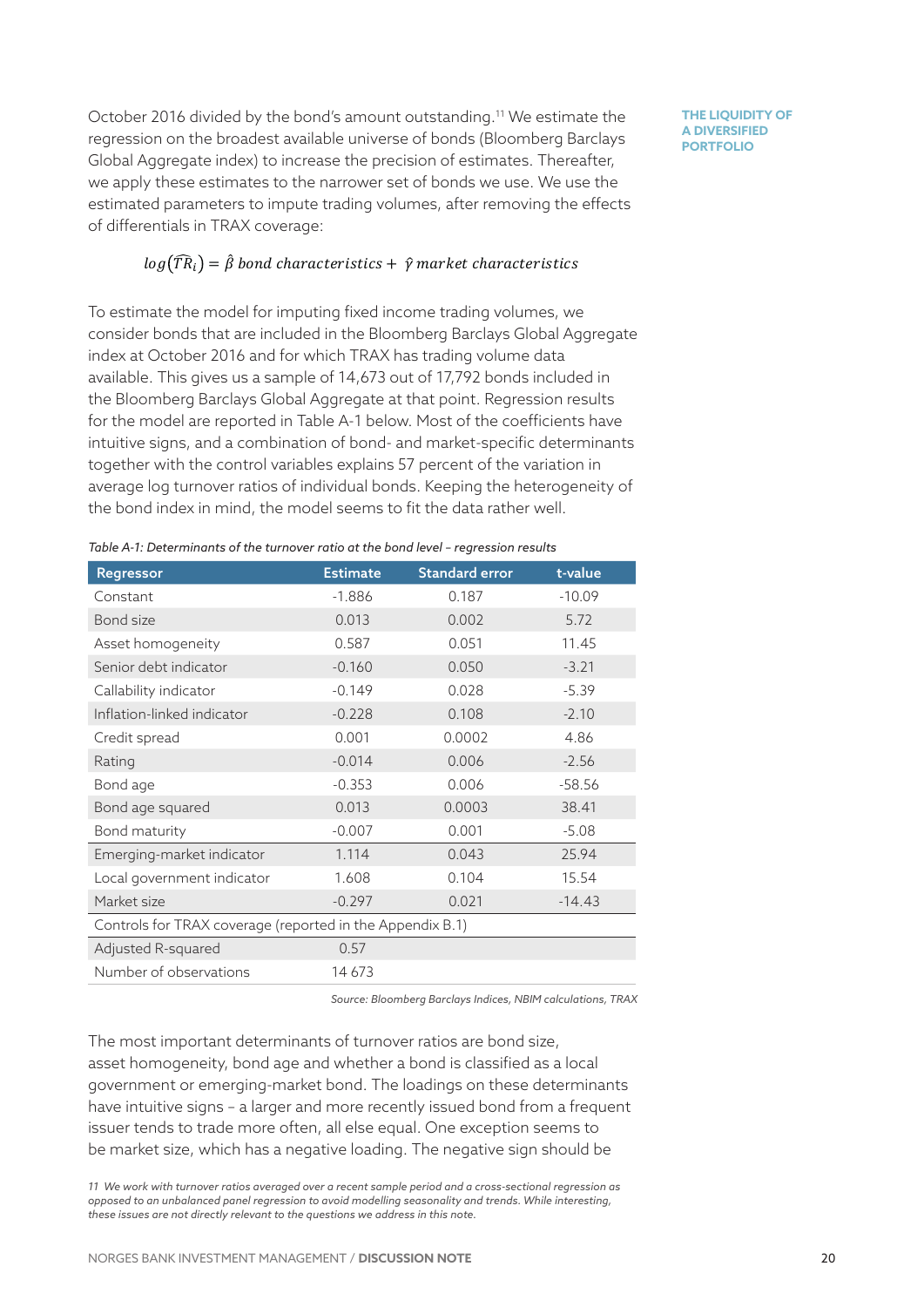October 2016 divided by the bond's amount outstanding.11 We estimate the regression on the broadest available universe of bonds (Bloomberg Barclays Global Aggregate index) to increase the precision of estimates. Thereafter, we apply these estimates to the narrower set of bonds we use. We use the estimated parameters to impute trading volumes, after removing the effects of differentials in TRAX coverage:

#### $log(\widehat{TR}_i) = \widehat{\beta}$  bond characteristics +  $\widehat{\gamma}$  market characteristics

To estimate the model for imputing fixed income trading volumes, we consider bonds that are included in the Bloomberg Barclays Global Aggregate index at October 2016 and for which TRAX has trading volume data available. This gives us a sample of 14,673 out of 17,792 bonds included in the Bloomberg Barclays Global Aggregate at that point. Regression results for the model are reported in Table A-1 below. Most of the coefficients have intuitive signs, and a combination of bond- and market-specific determinants together with the control variables explains 57 percent of the variation in average log turnover ratios of individual bonds. Keeping the heterogeneity of the bond index in mind, the model seems to fit the data rather well.

*Table A-1: Determinants of the turnover ratio at the bond level – regression results*

| Regressor                                                 | <b>Estimate</b> | <b>Standard error</b> | t-value  |  |
|-----------------------------------------------------------|-----------------|-----------------------|----------|--|
| Constant                                                  | $-1.886$        | 0.187                 | $-10.09$ |  |
| Bond size                                                 | 0.013           | 0.002                 | 5.72     |  |
| Asset homogeneity                                         | 0.587           | 0.051                 | 11.45    |  |
| Senior debt indicator                                     | $-0.160$        | 0.050                 | $-3.21$  |  |
| Callability indicator                                     | $-0.149$        | 0.028                 | $-5.39$  |  |
| Inflation-linked indicator                                | $-0.228$        | 0.108                 | $-2.10$  |  |
| Credit spread                                             | 0.001           | 0.0002                | 4.86     |  |
| Rating                                                    | $-0.014$        | 0.006                 | $-2.56$  |  |
| Bond age                                                  | $-0.353$        | 0.006                 | $-58.56$ |  |
| Bond age squared                                          | 0.013           | 0.0003                | 38.41    |  |
| Bond maturity                                             | $-0.007$        | 0.001                 | $-5.08$  |  |
| Emerging-market indicator                                 | 1.114           | 0.043                 | 25.94    |  |
| Local government indicator                                | 1.608           | 0.104                 | 15.54    |  |
| Market size                                               | $-0.297$        | 0.021                 | $-14.43$ |  |
| Controls for TRAX coverage (reported in the Appendix B.1) |                 |                       |          |  |
| Adjusted R-squared                                        | 0.57            |                       |          |  |
| Number of observations                                    | 14673           |                       |          |  |

*Source: Bloomberg Barclays Indices, NBIM calculations, TRAX*

The most important determinants of turnover ratios are bond size, asset homogeneity, bond age and whether a bond is classified as a local government or emerging-market bond. The loadings on these determinants have intuitive signs – a larger and more recently issued bond from a frequent issuer tends to trade more often, all else equal. One exception seems to be market size, which has a negative loading. The negative sign should be

*11 We work with turnover ratios averaged over a recent sample period and a cross-sectional regression as opposed to an unbalanced panel regression to avoid modelling seasonality and trends. While interesting, these issues are not directly relevant to the questions we address in this note.*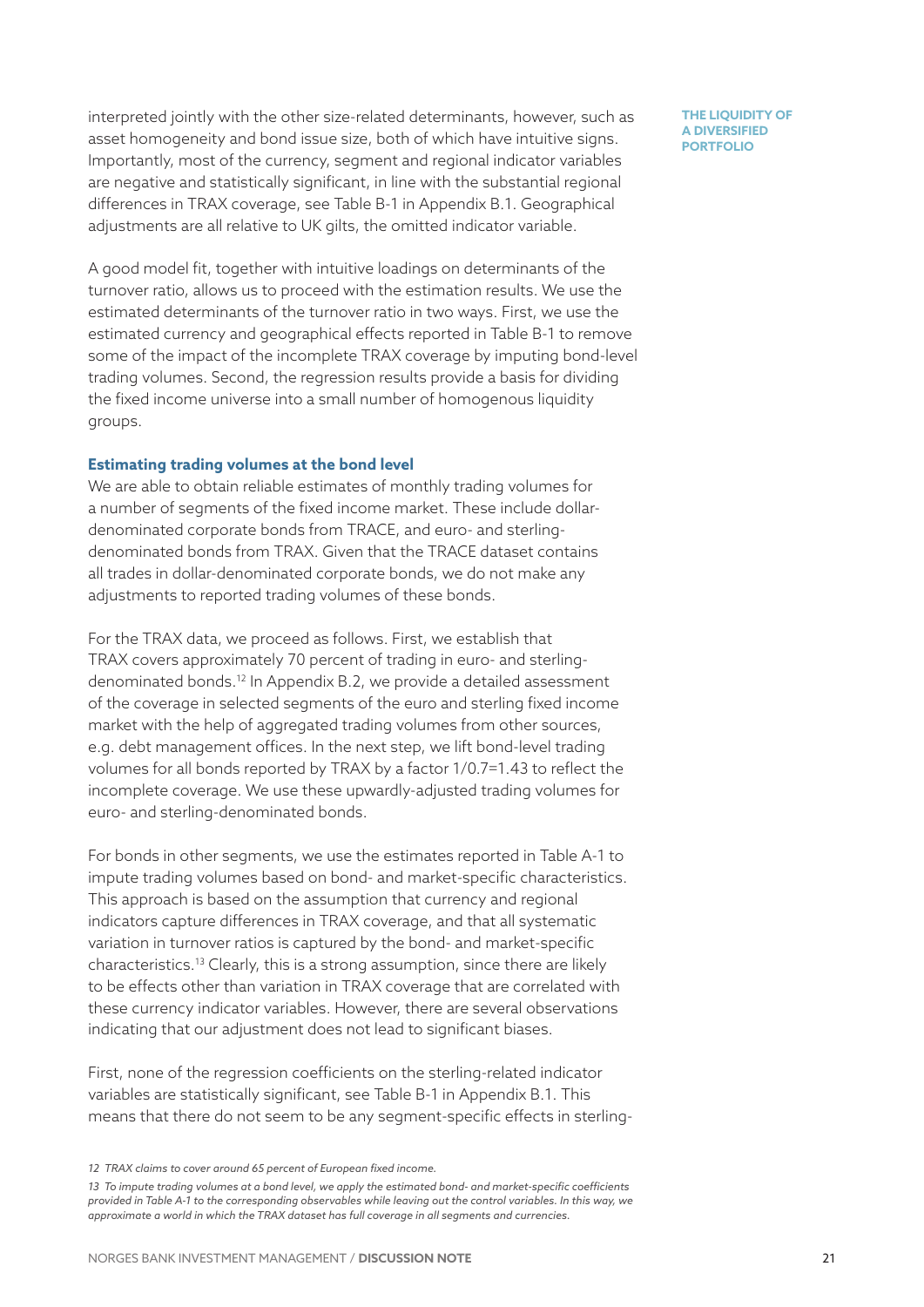interpreted jointly with the other size-related determinants, however, such as asset homogeneity and bond issue size, both of which have intuitive signs. Importantly, most of the currency, segment and regional indicator variables are negative and statistically significant, in line with the substantial regional differences in TRAX coverage, see Table B-1 in Appendix B.1. Geographical adjustments are all relative to UK gilts, the omitted indicator variable.

A good model fit, together with intuitive loadings on determinants of the turnover ratio, allows us to proceed with the estimation results. We use the estimated determinants of the turnover ratio in two ways. First, we use the estimated currency and geographical effects reported in Table B-1 to remove some of the impact of the incomplete TRAX coverage by imputing bond-level trading volumes. Second, the regression results provide a basis for dividing the fixed income universe into a small number of homogenous liquidity groups.

#### **Estimating trading volumes at the bond level**

We are able to obtain reliable estimates of monthly trading volumes for a number of segments of the fixed income market. These include dollardenominated corporate bonds from TRACE, and euro- and sterlingdenominated bonds from TRAX. Given that the TRACE dataset contains all trades in dollar-denominated corporate bonds, we do not make any adjustments to reported trading volumes of these bonds.

For the TRAX data, we proceed as follows. First, we establish that TRAX covers approximately 70 percent of trading in euro- and sterlingdenominated bonds.<sup>12</sup> In Appendix B.2, we provide a detailed assessment of the coverage in selected segments of the euro and sterling fixed income market with the help of aggregated trading volumes from other sources, e.g. debt management offices. In the next step, we lift bond-level trading volumes for all bonds reported by TRAX by a factor 1/0.7=1.43 to reflect the incomplete coverage. We use these upwardly-adjusted trading volumes for euro- and sterling-denominated bonds.

For bonds in other segments, we use the estimates reported in Table A-1 to impute trading volumes based on bond- and market-specific characteristics. This approach is based on the assumption that currency and regional indicators capture differences in TRAX coverage, and that all systematic variation in turnover ratios is captured by the bond- and market-specific characteristics.13 Clearly, this is a strong assumption, since there are likely to be effects other than variation in TRAX coverage that are correlated with these currency indicator variables. However, there are several observations indicating that our adjustment does not lead to significant biases.

First, none of the regression coefficients on the sterling-related indicator variables are statistically significant, see Table B-1 in Appendix B.1. This means that there do not seem to be any segment-specific effects in sterling-

*<sup>12</sup> TRAX claims to cover around 65 percent of European fixed income.*

*<sup>13</sup> To impute trading volumes at a bond level, we apply the estimated bond- and market-specific coefficients provided in Table A-1 to the corresponding observables while leaving out the control variables. In this way, we approximate a world in which the TRAX dataset has full coverage in all segments and currencies.*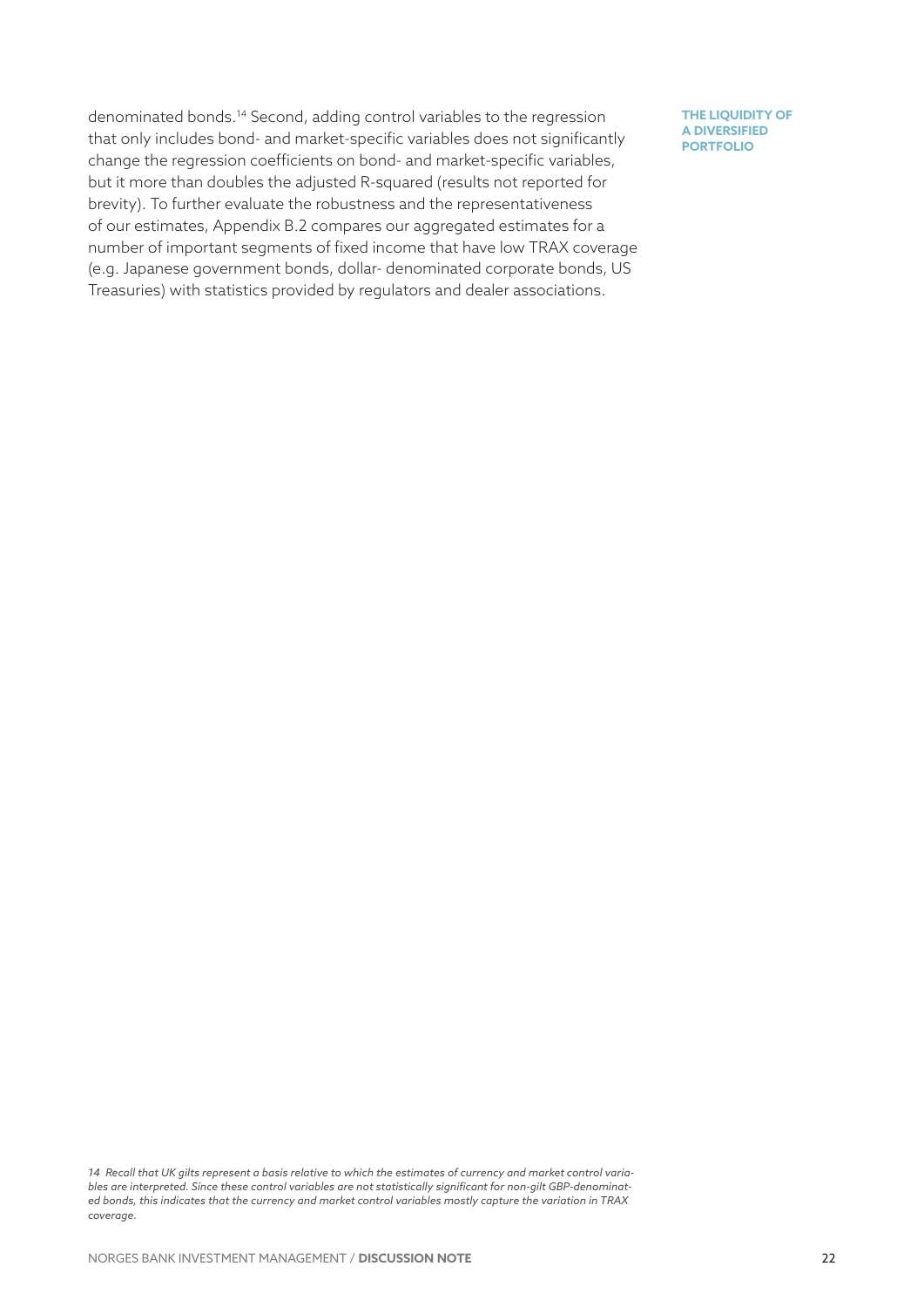denominated bonds.14 Second, adding control variables to the regression that only includes bond- and market-specific variables does not significantly change the regression coefficients on bond- and market-specific variables, but it more than doubles the adjusted R-squared (results not reported for brevity). To further evaluate the robustness and the representativeness of our estimates, Appendix B.2 compares our aggregated estimates for a number of important segments of fixed income that have low TRAX coverage (e.g. Japanese government bonds, dollar- denominated corporate bonds, US Treasuries) with statistics provided by regulators and dealer associations.

*<sup>14</sup> Recall that UK gilts represent a basis relative to which the estimates of currency and market control variables are interpreted. Since these control variables are not statistically significant for non-gilt GBP-denominated bonds, this indicates that the currency and market control variables mostly capture the variation in TRAX coverage.*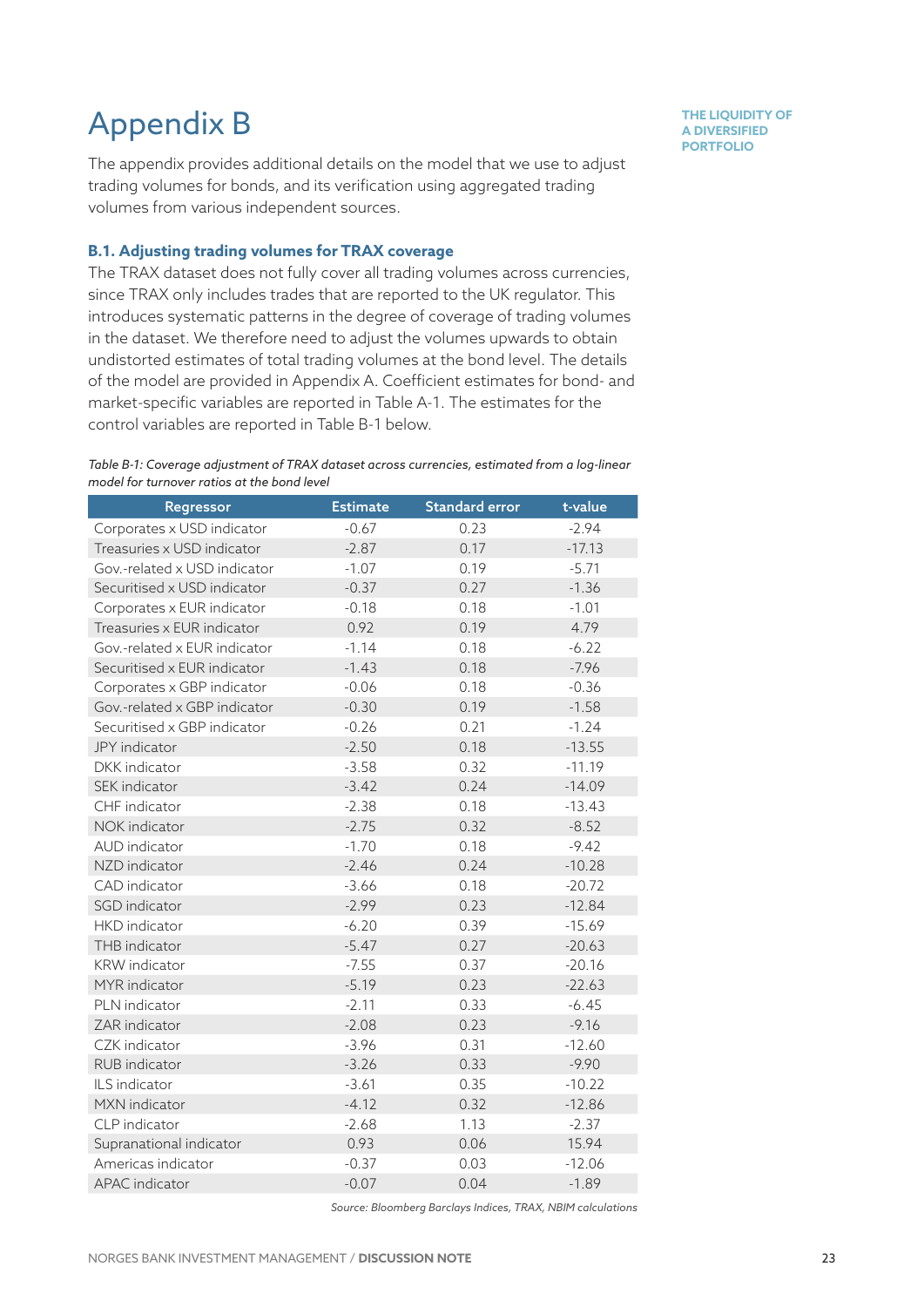# Appendix B

The appendix provides additional details on the model that we use to adjust trading volumes for bonds, and its verification using aggregated trading volumes from various independent sources.

#### **B.1. Adjusting trading volumes for TRAX coverage**

The TRAX dataset does not fully cover all trading volumes across currencies, since TRAX only includes trades that are reported to the UK regulator. This introduces systematic patterns in the degree of coverage of trading volumes in the dataset. We therefore need to adjust the volumes upwards to obtain undistorted estimates of total trading volumes at the bond level. The details of the model are provided in Appendix A. Coefficient estimates for bond- and market-specific variables are reported in Table A-1. The estimates for the control variables are reported in Table B-1 below.

#### *Table B-1: Coverage adjustment of TRAX dataset across currencies, estimated from a log-linear model for turnover ratios at the bond level*

| Regressor                    | <b>Estimate</b> | <b>Standard error</b> | t-value  |
|------------------------------|-----------------|-----------------------|----------|
| Corporates x USD indicator   | $-0.67$         | 0.23                  | $-2.94$  |
| Treasuries x USD indicator   | $-2.87$         | 0.17                  | $-17.13$ |
| Gov.-related x USD indicator | $-1.07$         | 0.19                  | $-5.71$  |
| Securitised x USD indicator  | $-0.37$         | 0.27                  | $-1.36$  |
| Corporates x EUR indicator   | $-0.18$         | 0.18                  | $-1.01$  |
| Treasuries x EUR indicator   | 0.92            | 0.19                  | 4.79     |
| Gov.-related x EUR indicator | $-1.14$         | 0.18                  | $-6.22$  |
| Securitised x EUR indicator  | $-1.43$         | 0.18                  | $-7.96$  |
| Corporates x GBP indicator   | $-0.06$         | 0.18                  | $-0.36$  |
| Gov.-related x GBP indicator | $-0.30$         | 0.19                  | $-1.58$  |
| Securitised x GBP indicator  | $-0.26$         | 0.21                  | $-1.24$  |
| JPY indicator                | $-2.50$         | 0.18                  | $-13.55$ |
| DKK indicator                | $-3.58$         | 0.32                  | $-11.19$ |
| SEK indicator                | $-3.42$         | 0.24                  | $-14.09$ |
| CHF indicator                | $-2.38$         | 0.18                  | $-13.43$ |
| NOK indicator                | $-2.75$         | 0.32                  | $-8.52$  |
| AUD indicator                | $-1.70$         | 0.18                  | $-9.42$  |
| NZD indicator                | $-2.46$         | 0.24                  | $-10.28$ |
| CAD indicator                | $-3.66$         | 0.18                  | $-20.72$ |
| SGD indicator                | $-2.99$         | 0.23                  | $-12.84$ |
| HKD indicator                | $-6.20$         | 0.39                  | $-15.69$ |
| THB indicator                | $-5.47$         | 0.27                  | $-20.63$ |
| <b>KRW</b> indicator         | $-7.55$         | 0.37                  | $-20.16$ |
| MYR indicator                | $-5.19$         | 0.23                  | $-22.63$ |
| PLN indicator                | $-2.11$         | 0.33                  | $-6.45$  |
| ZAR indicator                | $-2.08$         | 0.23                  | $-9.16$  |
| CZK indicator                | $-3.96$         | 0.31                  | $-12.60$ |
| RUB indicator                | $-3.26$         | 0.33                  | $-9.90$  |
| ILS indicator                | $-3.61$         | 0.35                  | $-10.22$ |
| MXN indicator                | $-4.12$         | 0.32                  | $-12.86$ |
| CLP indicator                | $-2.68$         | 1.13                  | $-2.37$  |
| Supranational indicator      | 0.93            | 0.06                  | 15.94    |
| Americas indicator           | $-0.37$         | 0.03                  | $-12.06$ |
| APAC indicator               | $-0.07$         | 0.04                  | $-1.89$  |
|                              |                 |                       |          |

*Source: Bloomberg Barclays Indices, TRAX, NBIM calculations*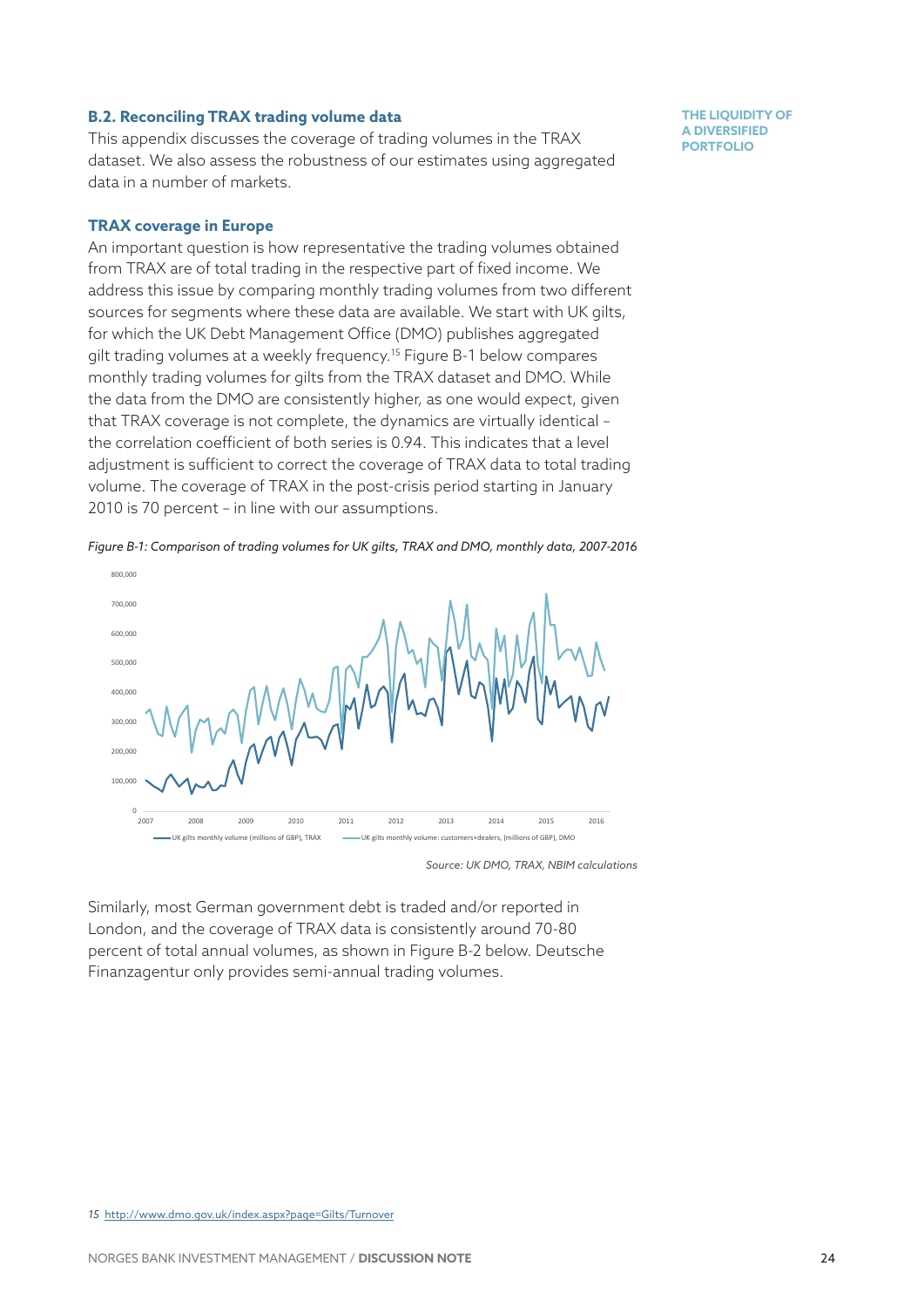#### **B.2. Reconciling TRAX trading volume data**

This appendix discusses the coverage of trading volumes in the TRAX dataset. We also assess the robustness of our estimates using aggregated data in a number of markets.

#### **TRAX coverage in Europe**

An important question is how representative the trading volumes obtained from TRAX are of total trading in the respective part of fixed income. We address this issue by comparing monthly trading volumes from two different sources for segments where these data are available. We start with UK gilts, for which the UK Debt Management Office (DMO) publishes aggregated gilt trading volumes at a weekly frequency.15 Figure B-1 below compares monthly trading volumes for gilts from the TRAX dataset and DMO. While the data from the DMO are consistently higher, as one would expect, given that TRAX coverage is not complete, the dynamics are virtually identical – the correlation coefficient of both series is 0.94. This indicates that a level adjustment is sufficient to correct the coverage of TRAX data to total trading volume. The coverage of TRAX in the post-crisis period starting in January 2010 is 70 percent – in line with our assumptions.





*Source: UK DMO, TRAX, NBIM calculations*

Similarly, most German government debt is traded and/or reported in London, and the coverage of TRAX data is consistently around 70-80 percent of total annual volumes, as shown in Figure B-2 below. Deutsche Finanzagentur only provides semi-annual trading volumes.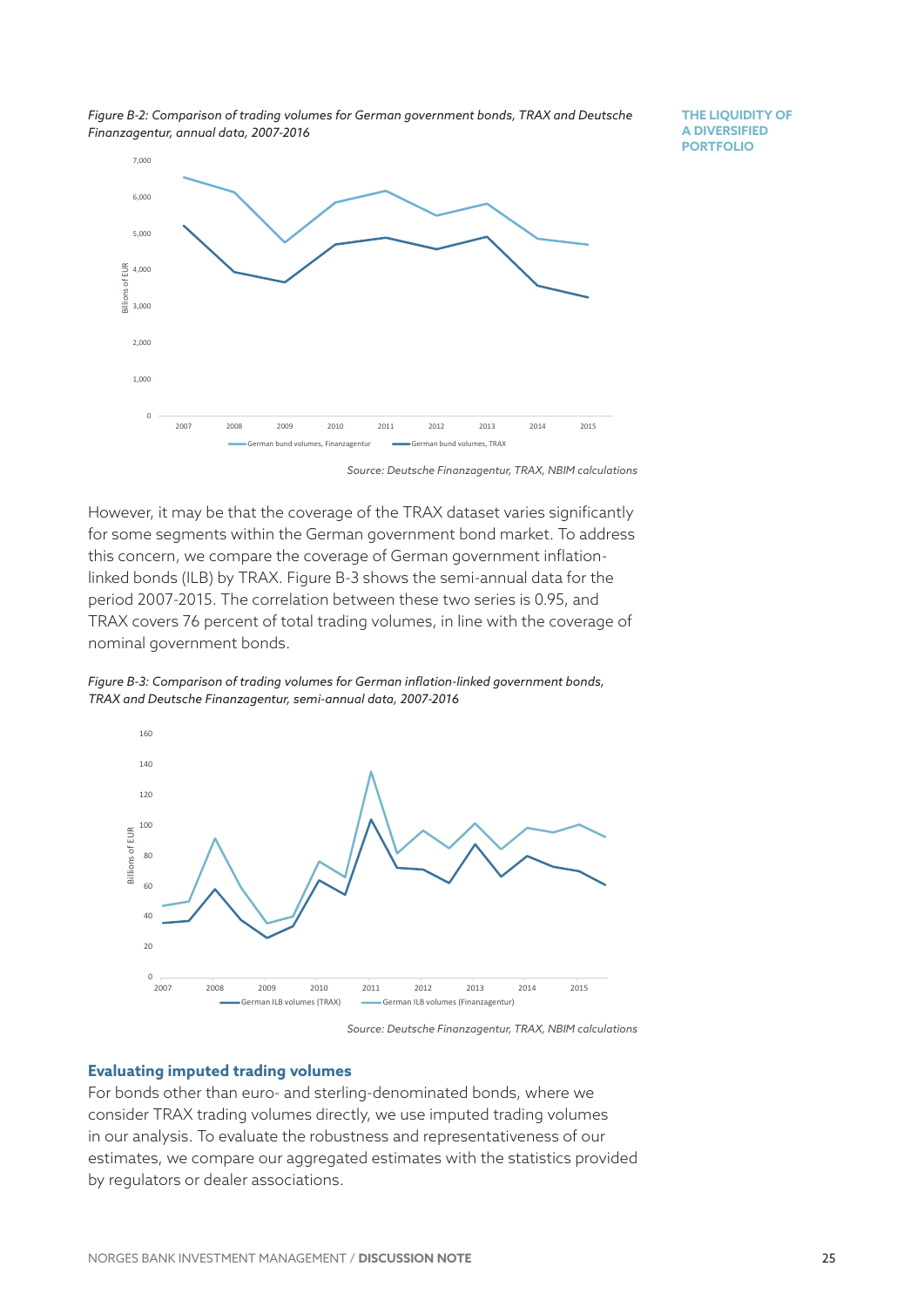*Figure B-2: Comparison of trading volumes for German government bonds, TRAX and Deutsche Finanzagentur, annual data, 2007-2016*

**THE LIQUIDITY OF A DIVERSIFIED PORTFOLIO**



*Source: Deutsche Finanzagentur, TRAX, NBIM calculations*

However, it may be that the coverage of the TRAX dataset varies significantly for some segments within the German government bond market. To address this concern, we compare the coverage of German government inflationlinked bonds (ILB) by TRAX. Figure B-3 shows the semi-annual data for the period 2007-2015. The correlation between these two series is 0.95, and TRAX covers 76 percent of total trading volumes, in line with the coverage of nominal government bonds.

*Figure B-3: Comparison of trading volumes for German inflation-linked government bonds, TRAX and Deutsche Finanzagentur, semi-annual data, 2007-2016*



*Source: Deutsche Finanzagentur, TRAX, NBIM calculations*

#### **Evaluating imputed trading volumes**

For bonds other than euro- and sterling-denominated bonds, where we consider TRAX trading volumes directly, we use imputed trading volumes in our analysis. To evaluate the robustness and representativeness of our estimates, we compare our aggregated estimates with the statistics provided by regulators or dealer associations.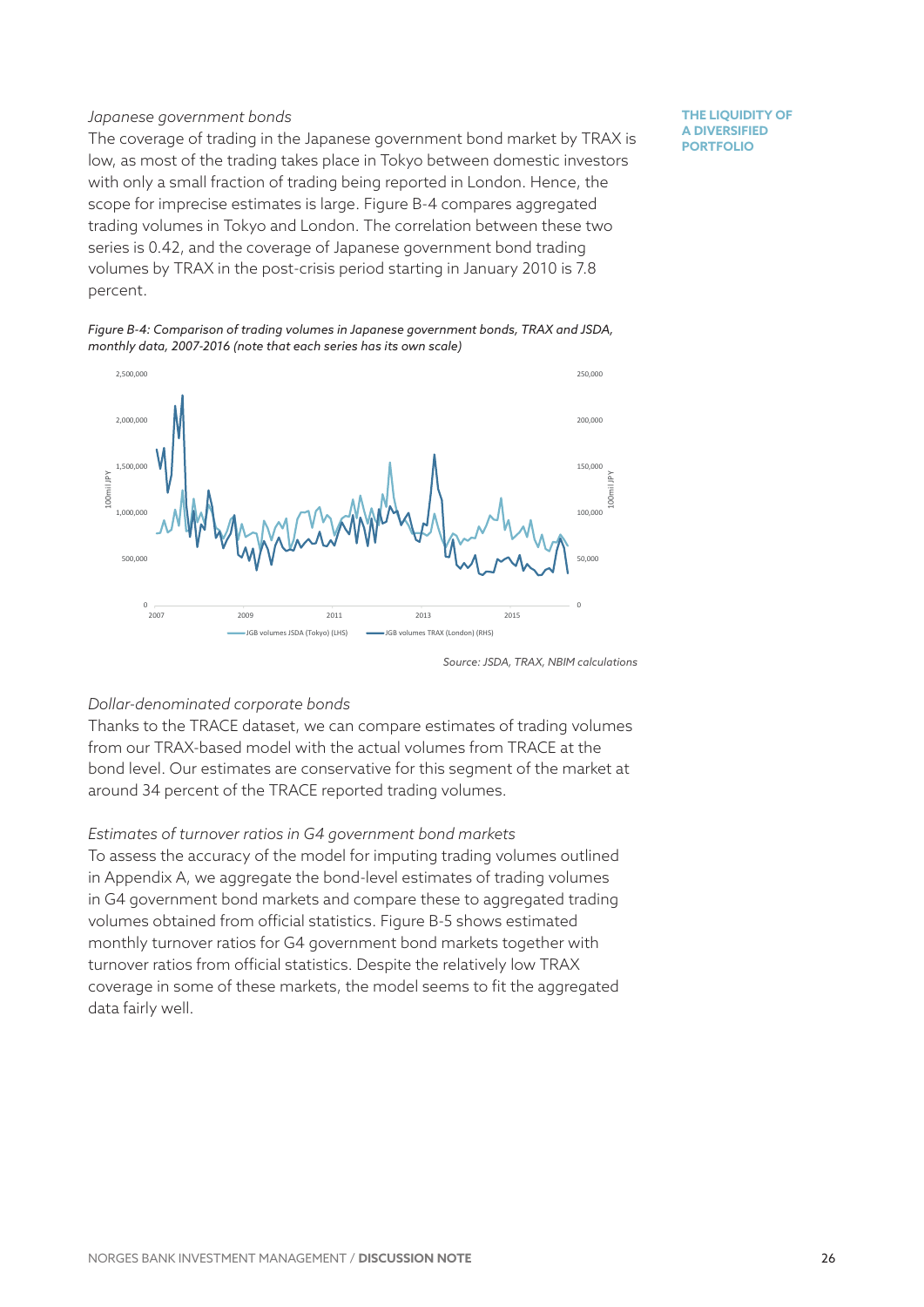#### *Japanese government bonds*

The coverage of trading in the Japanese government bond market by TRAX is low, as most of the trading takes place in Tokyo between domestic investors with only a small fraction of trading being reported in London. Hence, the scope for imprecise estimates is large. Figure B-4 compares aggregated trading volumes in Tokyo and London. The correlation between these two series is 0.42, and the coverage of Japanese government bond trading volumes by TRAX in the post-crisis period starting in January 2010 is 7.8 percent.

*Figure B-4: Comparison of trading volumes in Japanese government bonds, TRAX and JSDA, monthly data, 2007-2016 (note that each series has its own scale)*



**THE LIQUIDITY OF A DIVERSIFIED PORTFOLIO**

#### *Dollar-denominated corporate bonds*

Thanks to the TRACE dataset, we can compare estimates of trading volumes from our TRAX-based model with the actual volumes from TRACE at the bond level. Our estimates are conservative for this segment of the market at around 34 percent of the TRACE reported trading volumes.

#### *Estimates of turnover ratios in G4 government bond markets*

To assess the accuracy of the model for imputing trading volumes outlined in Appendix A, we aggregate the bond-level estimates of trading volumes in G4 government bond markets and compare these to aggregated trading volumes obtained from official statistics. Figure B-5 shows estimated monthly turnover ratios for G4 government bond markets together with turnover ratios from official statistics. Despite the relatively low TRAX coverage in some of these markets, the model seems to fit the aggregated data fairly well.

*Source: JSDA, TRAX, NBIM calculations*